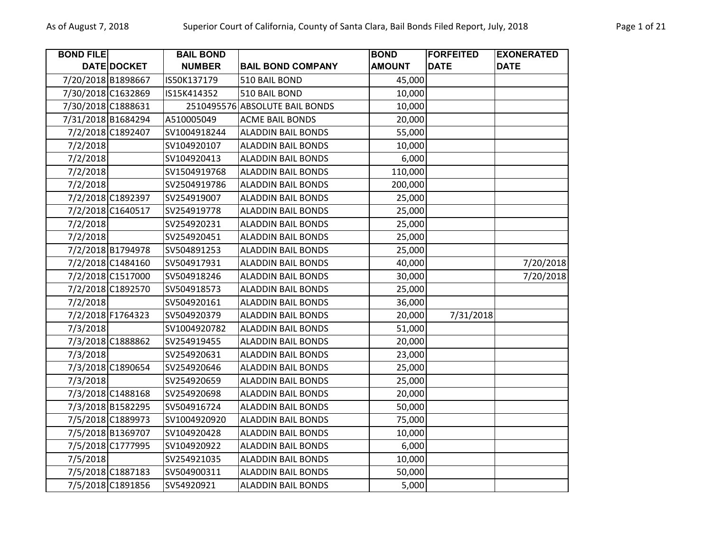| <b>BOND FILE</b>   |                   | <b>BAIL BOND</b> |                                | <b>BOND</b>   | <b>FORFEITED</b> | <b>EXONERATED</b> |
|--------------------|-------------------|------------------|--------------------------------|---------------|------------------|-------------------|
|                    | DATE DOCKET       | <b>NUMBER</b>    | <b>BAIL BOND COMPANY</b>       | <b>AMOUNT</b> | <b>DATE</b>      | <b>DATE</b>       |
| 7/20/2018 B1898667 |                   | IS50K137179      | 510 BAIL BOND                  | 45,000        |                  |                   |
| 7/30/2018 C1632869 |                   | IS15K414352      | 510 BAIL BOND                  | 10,000        |                  |                   |
| 7/30/2018 C1888631 |                   |                  | 2510495576 ABSOLUTE BAIL BONDS | 10,000        |                  |                   |
| 7/31/2018 B1684294 |                   | A510005049       | <b>ACME BAIL BONDS</b>         | 20,000        |                  |                   |
|                    | 7/2/2018 C1892407 | SV1004918244     | <b>ALADDIN BAIL BONDS</b>      | 55,000        |                  |                   |
| 7/2/2018           |                   | SV104920107      | <b>ALADDIN BAIL BONDS</b>      | 10,000        |                  |                   |
| 7/2/2018           |                   | SV104920413      | <b>ALADDIN BAIL BONDS</b>      | 6,000         |                  |                   |
| 7/2/2018           |                   | SV1504919768     | <b>ALADDIN BAIL BONDS</b>      | 110,000       |                  |                   |
| 7/2/2018           |                   | SV2504919786     | <b>ALADDIN BAIL BONDS</b>      | 200,000       |                  |                   |
|                    | 7/2/2018 C1892397 | SV254919007      | <b>ALADDIN BAIL BONDS</b>      | 25,000        |                  |                   |
|                    | 7/2/2018 C1640517 | SV254919778      | <b>ALADDIN BAIL BONDS</b>      | 25,000        |                  |                   |
| 7/2/2018           |                   | SV254920231      | <b>ALADDIN BAIL BONDS</b>      | 25,000        |                  |                   |
| 7/2/2018           |                   | SV254920451      | <b>ALADDIN BAIL BONDS</b>      | 25,000        |                  |                   |
|                    | 7/2/2018 B1794978 | SV504891253      | <b>ALADDIN BAIL BONDS</b>      | 25,000        |                  |                   |
|                    | 7/2/2018 C1484160 | SV504917931      | <b>ALADDIN BAIL BONDS</b>      | 40,000        |                  | 7/20/2018         |
|                    | 7/2/2018 C1517000 | SV504918246      | <b>ALADDIN BAIL BONDS</b>      | 30,000        |                  | 7/20/2018         |
|                    | 7/2/2018 C1892570 | SV504918573      | <b>ALADDIN BAIL BONDS</b>      | 25,000        |                  |                   |
| 7/2/2018           |                   | SV504920161      | <b>ALADDIN BAIL BONDS</b>      | 36,000        |                  |                   |
|                    | 7/2/2018 F1764323 | SV504920379      | <b>ALADDIN BAIL BONDS</b>      | 20,000        | 7/31/2018        |                   |
| 7/3/2018           |                   | SV1004920782     | <b>ALADDIN BAIL BONDS</b>      | 51,000        |                  |                   |
|                    | 7/3/2018 C1888862 | SV254919455      | <b>ALADDIN BAIL BONDS</b>      | 20,000        |                  |                   |
| 7/3/2018           |                   | SV254920631      | <b>ALADDIN BAIL BONDS</b>      | 23,000        |                  |                   |
|                    | 7/3/2018 C1890654 | SV254920646      | <b>ALADDIN BAIL BONDS</b>      | 25,000        |                  |                   |
| 7/3/2018           |                   | SV254920659      | <b>ALADDIN BAIL BONDS</b>      | 25,000        |                  |                   |
|                    | 7/3/2018 C1488168 | SV254920698      | <b>ALADDIN BAIL BONDS</b>      | 20,000        |                  |                   |
|                    | 7/3/2018 B1582295 | SV504916724      | <b>ALADDIN BAIL BONDS</b>      | 50,000        |                  |                   |
|                    | 7/5/2018 C1889973 | SV1004920920     | <b>ALADDIN BAIL BONDS</b>      | 75,000        |                  |                   |
|                    | 7/5/2018 B1369707 | SV104920428      | <b>ALADDIN BAIL BONDS</b>      | 10,000        |                  |                   |
|                    | 7/5/2018 C1777995 | SV104920922      | <b>ALADDIN BAIL BONDS</b>      | 6,000         |                  |                   |
| 7/5/2018           |                   | SV254921035      | <b>ALADDIN BAIL BONDS</b>      | 10,000        |                  |                   |
|                    | 7/5/2018 C1887183 | SV504900311      | <b>ALADDIN BAIL BONDS</b>      | 50,000        |                  |                   |
|                    | 7/5/2018 C1891856 | SV54920921       | <b>ALADDIN BAIL BONDS</b>      | 5,000         |                  |                   |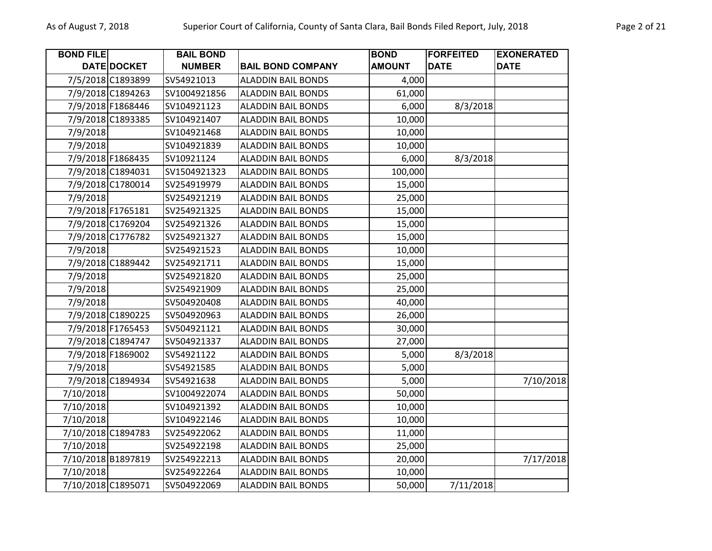| <b>BOND FILE</b> |                    | <b>BAIL BOND</b> |                           | <b>BOND</b>   | <b>FORFEITED</b> | <b>EXONERATED</b> |
|------------------|--------------------|------------------|---------------------------|---------------|------------------|-------------------|
|                  | DATE DOCKET        | <b>NUMBER</b>    | <b>BAIL BOND COMPANY</b>  | <b>AMOUNT</b> | <b>DATE</b>      | <b>DATE</b>       |
|                  | 7/5/2018 C1893899  | SV54921013       | <b>ALADDIN BAIL BONDS</b> | 4,000         |                  |                   |
|                  | 7/9/2018 C1894263  | SV1004921856     | <b>ALADDIN BAIL BONDS</b> | 61,000        |                  |                   |
|                  | 7/9/2018 F1868446  | SV104921123      | <b>ALADDIN BAIL BONDS</b> | 6,000         | 8/3/2018         |                   |
|                  | 7/9/2018 C1893385  | SV104921407      | <b>ALADDIN BAIL BONDS</b> | 10,000        |                  |                   |
| 7/9/2018         |                    | SV104921468      | <b>ALADDIN BAIL BONDS</b> | 10,000        |                  |                   |
| 7/9/2018         |                    | SV104921839      | <b>ALADDIN BAIL BONDS</b> | 10,000        |                  |                   |
|                  | 7/9/2018 F1868435  | SV10921124       | <b>ALADDIN BAIL BONDS</b> | 6,000         | 8/3/2018         |                   |
|                  | 7/9/2018 C1894031  | SV1504921323     | <b>ALADDIN BAIL BONDS</b> | 100,000       |                  |                   |
|                  | 7/9/2018 C1780014  | SV254919979      | <b>ALADDIN BAIL BONDS</b> | 15,000        |                  |                   |
| 7/9/2018         |                    | SV254921219      | <b>ALADDIN BAIL BONDS</b> | 25,000        |                  |                   |
|                  | 7/9/2018 F1765181  | SV254921325      | <b>ALADDIN BAIL BONDS</b> | 15,000        |                  |                   |
|                  | 7/9/2018 C1769204  | SV254921326      | <b>ALADDIN BAIL BONDS</b> | 15,000        |                  |                   |
|                  | 7/9/2018 C1776782  | SV254921327      | <b>ALADDIN BAIL BONDS</b> | 15,000        |                  |                   |
| 7/9/2018         |                    | SV254921523      | <b>ALADDIN BAIL BONDS</b> | 10,000        |                  |                   |
|                  | 7/9/2018 C1889442  | SV254921711      | <b>ALADDIN BAIL BONDS</b> | 15,000        |                  |                   |
| 7/9/2018         |                    | SV254921820      | <b>ALADDIN BAIL BONDS</b> | 25,000        |                  |                   |
| 7/9/2018         |                    | SV254921909      | <b>ALADDIN BAIL BONDS</b> | 25,000        |                  |                   |
| 7/9/2018         |                    | SV504920408      | <b>ALADDIN BAIL BONDS</b> | 40,000        |                  |                   |
|                  | 7/9/2018 C1890225  | SV504920963      | <b>ALADDIN BAIL BONDS</b> | 26,000        |                  |                   |
|                  | 7/9/2018 F1765453  | SV504921121      | <b>ALADDIN BAIL BONDS</b> | 30,000        |                  |                   |
|                  | 7/9/2018 C1894747  | SV504921337      | <b>ALADDIN BAIL BONDS</b> | 27,000        |                  |                   |
|                  | 7/9/2018 F1869002  | SV54921122       | <b>ALADDIN BAIL BONDS</b> | 5,000         | 8/3/2018         |                   |
| 7/9/2018         |                    | SV54921585       | <b>ALADDIN BAIL BONDS</b> | 5,000         |                  |                   |
|                  | 7/9/2018 C1894934  | SV54921638       | <b>ALADDIN BAIL BONDS</b> | 5,000         |                  | 7/10/2018         |
| 7/10/2018        |                    | SV1004922074     | <b>ALADDIN BAIL BONDS</b> | 50,000        |                  |                   |
| 7/10/2018        |                    | SV104921392      | <b>ALADDIN BAIL BONDS</b> | 10,000        |                  |                   |
| 7/10/2018        |                    | SV104922146      | <b>ALADDIN BAIL BONDS</b> | 10,000        |                  |                   |
|                  | 7/10/2018 C1894783 | SV254922062      | <b>ALADDIN BAIL BONDS</b> | 11,000        |                  |                   |
| 7/10/2018        |                    | SV254922198      | <b>ALADDIN BAIL BONDS</b> | 25,000        |                  |                   |
|                  | 7/10/2018 B1897819 | SV254922213      | <b>ALADDIN BAIL BONDS</b> | 20,000        |                  | 7/17/2018         |
| 7/10/2018        |                    | SV254922264      | <b>ALADDIN BAIL BONDS</b> | 10,000        |                  |                   |
|                  | 7/10/2018 C1895071 | SV504922069      | <b>ALADDIN BAIL BONDS</b> | 50,000        | 7/11/2018        |                   |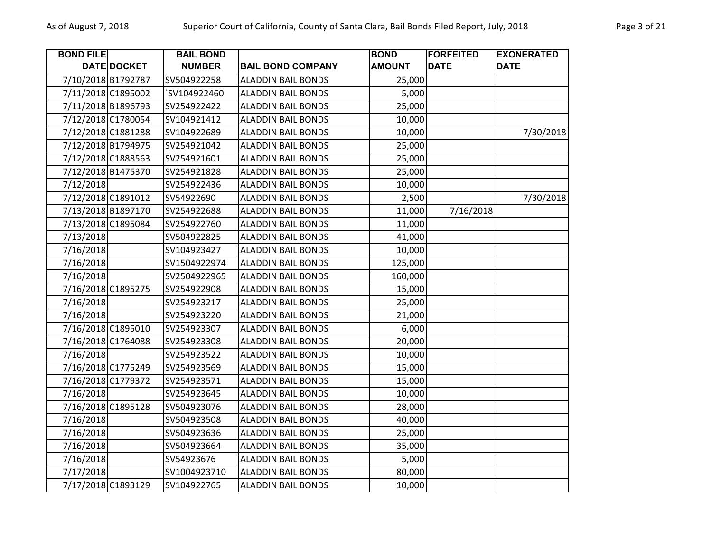| <b>BOND FILE</b>   |                    | <b>BAIL BOND</b> |                           | <b>BOND</b>   | <b>FORFEITED</b> | <b>EXONERATED</b> |
|--------------------|--------------------|------------------|---------------------------|---------------|------------------|-------------------|
|                    | DATE DOCKET        | <b>NUMBER</b>    | <b>BAIL BOND COMPANY</b>  | <b>AMOUNT</b> | <b>DATE</b>      | <b>DATE</b>       |
|                    | 7/10/2018 B1792787 | SV504922258      | <b>ALADDIN BAIL BONDS</b> | 25,000        |                  |                   |
| 7/11/2018 C1895002 |                    | `SV104922460     | <b>ALADDIN BAIL BONDS</b> | 5,000         |                  |                   |
| 7/11/2018 B1896793 |                    | SV254922422      | <b>ALADDIN BAIL BONDS</b> | 25,000        |                  |                   |
| 7/12/2018 C1780054 |                    | SV104921412      | <b>ALADDIN BAIL BONDS</b> | 10,000        |                  |                   |
|                    | 7/12/2018 C1881288 | SV104922689      | <b>ALADDIN BAIL BONDS</b> | 10,000        |                  | 7/30/2018         |
| 7/12/2018 B1794975 |                    | SV254921042      | <b>ALADDIN BAIL BONDS</b> | 25,000        |                  |                   |
| 7/12/2018 C1888563 |                    | SV254921601      | <b>ALADDIN BAIL BONDS</b> | 25,000        |                  |                   |
| 7/12/2018 B1475370 |                    | SV254921828      | <b>ALADDIN BAIL BONDS</b> | 25,000        |                  |                   |
| 7/12/2018          |                    | SV254922436      | <b>ALADDIN BAIL BONDS</b> | 10,000        |                  |                   |
| 7/12/2018 C1891012 |                    | SV54922690       | <b>ALADDIN BAIL BONDS</b> | 2,500         |                  | 7/30/2018         |
|                    | 7/13/2018 B1897170 | SV254922688      | <b>ALADDIN BAIL BONDS</b> | 11,000        | 7/16/2018        |                   |
| 7/13/2018 C1895084 |                    | SV254922760      | <b>ALADDIN BAIL BONDS</b> | 11,000        |                  |                   |
| 7/13/2018          |                    | SV504922825      | <b>ALADDIN BAIL BONDS</b> | 41,000        |                  |                   |
| 7/16/2018          |                    | SV104923427      | <b>ALADDIN BAIL BONDS</b> | 10,000        |                  |                   |
| 7/16/2018          |                    | SV1504922974     | <b>ALADDIN BAIL BONDS</b> | 125,000       |                  |                   |
| 7/16/2018          |                    | SV2504922965     | <b>ALADDIN BAIL BONDS</b> | 160,000       |                  |                   |
| 7/16/2018 C1895275 |                    | SV254922908      | <b>ALADDIN BAIL BONDS</b> | 15,000        |                  |                   |
| 7/16/2018          |                    | SV254923217      | <b>ALADDIN BAIL BONDS</b> | 25,000        |                  |                   |
| 7/16/2018          |                    | SV254923220      | <b>ALADDIN BAIL BONDS</b> | 21,000        |                  |                   |
| 7/16/2018 C1895010 |                    | SV254923307      | <b>ALADDIN BAIL BONDS</b> | 6,000         |                  |                   |
| 7/16/2018 C1764088 |                    | SV254923308      | <b>ALADDIN BAIL BONDS</b> | 20,000        |                  |                   |
| 7/16/2018          |                    | SV254923522      | <b>ALADDIN BAIL BONDS</b> | 10,000        |                  |                   |
|                    | 7/16/2018 C1775249 | SV254923569      | <b>ALADDIN BAIL BONDS</b> | 15,000        |                  |                   |
| 7/16/2018 C1779372 |                    | SV254923571      | <b>ALADDIN BAIL BONDS</b> | 15,000        |                  |                   |
| 7/16/2018          |                    | SV254923645      | <b>ALADDIN BAIL BONDS</b> | 10,000        |                  |                   |
| 7/16/2018 C1895128 |                    | SV504923076      | <b>ALADDIN BAIL BONDS</b> | 28,000        |                  |                   |
| 7/16/2018          |                    | SV504923508      | <b>ALADDIN BAIL BONDS</b> | 40,000        |                  |                   |
| 7/16/2018          |                    | SV504923636      | <b>ALADDIN BAIL BONDS</b> | 25,000        |                  |                   |
| 7/16/2018          |                    | SV504923664      | <b>ALADDIN BAIL BONDS</b> | 35,000        |                  |                   |
| 7/16/2018          |                    | SV54923676       | <b>ALADDIN BAIL BONDS</b> | 5,000         |                  |                   |
| 7/17/2018          |                    | SV1004923710     | <b>ALADDIN BAIL BONDS</b> | 80,000        |                  |                   |
| 7/17/2018 C1893129 |                    | SV104922765      | <b>ALADDIN BAIL BONDS</b> | 10,000        |                  |                   |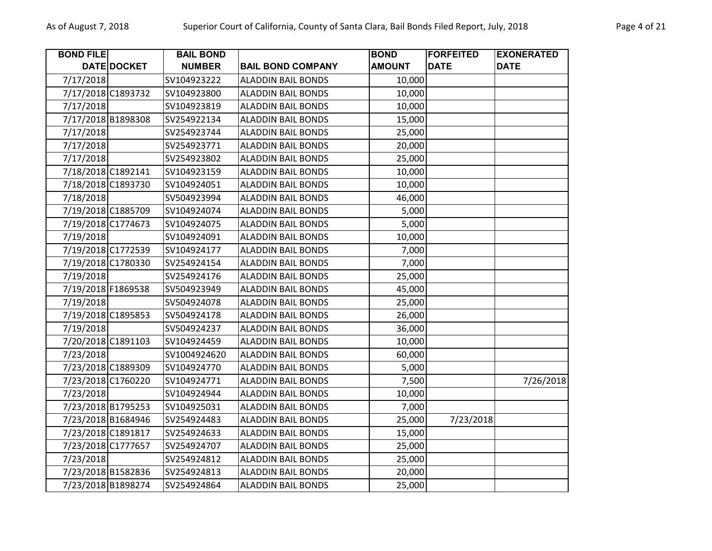| <b>BOND FILE</b>   |             | <b>BAIL BOND</b> |                           | <b>BOND</b>   | <b>FORFEITED</b> | <b>EXONERATED</b> |
|--------------------|-------------|------------------|---------------------------|---------------|------------------|-------------------|
|                    | DATE DOCKET | <b>NUMBER</b>    | <b>BAIL BOND COMPANY</b>  | <b>AMOUNT</b> | <b>DATE</b>      | <b>DATE</b>       |
| 7/17/2018          |             | SV104923222      | <b>ALADDIN BAIL BONDS</b> | 10,000        |                  |                   |
| 7/17/2018 C1893732 |             | SV104923800      | <b>ALADDIN BAIL BONDS</b> | 10,000        |                  |                   |
| 7/17/2018          |             | SV104923819      | <b>ALADDIN BAIL BONDS</b> | 10,000        |                  |                   |
| 7/17/2018 B1898308 |             | SV254922134      | <b>ALADDIN BAIL BONDS</b> | 15,000        |                  |                   |
| 7/17/2018          |             | SV254923744      | <b>ALADDIN BAIL BONDS</b> | 25,000        |                  |                   |
| 7/17/2018          |             | SV254923771      | <b>ALADDIN BAIL BONDS</b> | 20,000        |                  |                   |
| 7/17/2018          |             | SV254923802      | <b>ALADDIN BAIL BONDS</b> | 25,000        |                  |                   |
| 7/18/2018 C1892141 |             | SV104923159      | <b>ALADDIN BAIL BONDS</b> | 10,000        |                  |                   |
| 7/18/2018 C1893730 |             | SV104924051      | <b>ALADDIN BAIL BONDS</b> | 10,000        |                  |                   |
| 7/18/2018          |             | SV504923994      | <b>ALADDIN BAIL BONDS</b> | 46,000        |                  |                   |
| 7/19/2018 C1885709 |             | SV104924074      | <b>ALADDIN BAIL BONDS</b> | 5,000         |                  |                   |
| 7/19/2018 C1774673 |             | SV104924075      | <b>ALADDIN BAIL BONDS</b> | 5,000         |                  |                   |
| 7/19/2018          |             | SV104924091      | <b>ALADDIN BAIL BONDS</b> | 10,000        |                  |                   |
| 7/19/2018 C1772539 |             | SV104924177      | <b>ALADDIN BAIL BONDS</b> | 7,000         |                  |                   |
| 7/19/2018 C1780330 |             | SV254924154      | <b>ALADDIN BAIL BONDS</b> | 7,000         |                  |                   |
| 7/19/2018          |             | SV254924176      | <b>ALADDIN BAIL BONDS</b> | 25,000        |                  |                   |
| 7/19/2018 F1869538 |             | SV504923949      | <b>ALADDIN BAIL BONDS</b> | 45,000        |                  |                   |
| 7/19/2018          |             | SV504924078      | <b>ALADDIN BAIL BONDS</b> | 25,000        |                  |                   |
| 7/19/2018 C1895853 |             | SV504924178      | <b>ALADDIN BAIL BONDS</b> | 26,000        |                  |                   |
| 7/19/2018          |             | SV504924237      | <b>ALADDIN BAIL BONDS</b> | 36,000        |                  |                   |
| 7/20/2018 C1891103 |             | SV104924459      | <b>ALADDIN BAIL BONDS</b> | 10,000        |                  |                   |
| 7/23/2018          |             | SV1004924620     | <b>ALADDIN BAIL BONDS</b> | 60,000        |                  |                   |
| 7/23/2018 C1889309 |             | SV104924770      | <b>ALADDIN BAIL BONDS</b> | 5,000         |                  |                   |
| 7/23/2018 C1760220 |             | SV104924771      | <b>ALADDIN BAIL BONDS</b> | 7,500         |                  | 7/26/2018         |
| 7/23/2018          |             | SV104924944      | <b>ALADDIN BAIL BONDS</b> | 10,000        |                  |                   |
| 7/23/2018 B1795253 |             | SV104925031      | <b>ALADDIN BAIL BONDS</b> | 7,000         |                  |                   |
| 7/23/2018 B1684946 |             | SV254924483      | <b>ALADDIN BAIL BONDS</b> | 25,000        | 7/23/2018        |                   |
| 7/23/2018 C1891817 |             | SV254924633      | <b>ALADDIN BAIL BONDS</b> | 15,000        |                  |                   |
| 7/23/2018 C1777657 |             | SV254924707      | <b>ALADDIN BAIL BONDS</b> | 25,000        |                  |                   |
| 7/23/2018          |             | SV254924812      | <b>ALADDIN BAIL BONDS</b> | 25,000        |                  |                   |
| 7/23/2018 B1582836 |             | SV254924813      | <b>ALADDIN BAIL BONDS</b> | 20,000        |                  |                   |
| 7/23/2018 B1898274 |             | SV254924864      | <b>ALADDIN BAIL BONDS</b> | 25,000        |                  |                   |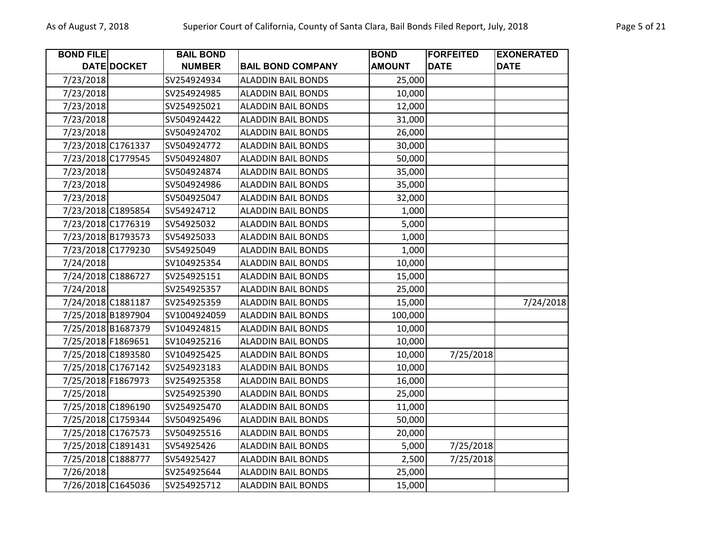| <b>BOND FILE</b>   |                    | <b>BAIL BOND</b> |                           | <b>BOND</b>   | <b>FORFEITED</b> | <b>EXONERATED</b> |
|--------------------|--------------------|------------------|---------------------------|---------------|------------------|-------------------|
|                    | <b>DATE DOCKET</b> | <b>NUMBER</b>    | <b>BAIL BOND COMPANY</b>  | <b>AMOUNT</b> | <b>DATE</b>      | <b>DATE</b>       |
| 7/23/2018          |                    | SV254924934      | <b>ALADDIN BAIL BONDS</b> | 25,000        |                  |                   |
| 7/23/2018          |                    | SV254924985      | <b>ALADDIN BAIL BONDS</b> | 10,000        |                  |                   |
| 7/23/2018          |                    | SV254925021      | <b>ALADDIN BAIL BONDS</b> | 12,000        |                  |                   |
| 7/23/2018          |                    | SV504924422      | <b>ALADDIN BAIL BONDS</b> | 31,000        |                  |                   |
| 7/23/2018          |                    | SV504924702      | <b>ALADDIN BAIL BONDS</b> | 26,000        |                  |                   |
| 7/23/2018 C1761337 |                    | SV504924772      | <b>ALADDIN BAIL BONDS</b> | 30,000        |                  |                   |
| 7/23/2018 C1779545 |                    | SV504924807      | <b>ALADDIN BAIL BONDS</b> | 50,000        |                  |                   |
| 7/23/2018          |                    | SV504924874      | <b>ALADDIN BAIL BONDS</b> | 35,000        |                  |                   |
| 7/23/2018          |                    | SV504924986      | <b>ALADDIN BAIL BONDS</b> | 35,000        |                  |                   |
| 7/23/2018          |                    | SV504925047      | <b>ALADDIN BAIL BONDS</b> | 32,000        |                  |                   |
| 7/23/2018 C1895854 |                    | SV54924712       | <b>ALADDIN BAIL BONDS</b> | 1,000         |                  |                   |
| 7/23/2018 C1776319 |                    | SV54925032       | <b>ALADDIN BAIL BONDS</b> | 5,000         |                  |                   |
| 7/23/2018 B1793573 |                    | SV54925033       | <b>ALADDIN BAIL BONDS</b> | 1,000         |                  |                   |
| 7/23/2018 C1779230 |                    | SV54925049       | <b>ALADDIN BAIL BONDS</b> | 1,000         |                  |                   |
| 7/24/2018          |                    | SV104925354      | <b>ALADDIN BAIL BONDS</b> | 10,000        |                  |                   |
| 7/24/2018 C1886727 |                    | SV254925151      | <b>ALADDIN BAIL BONDS</b> | 15,000        |                  |                   |
| 7/24/2018          |                    | SV254925357      | <b>ALADDIN BAIL BONDS</b> | 25,000        |                  |                   |
| 7/24/2018 C1881187 |                    | SV254925359      | <b>ALADDIN BAIL BONDS</b> | 15,000        |                  | 7/24/2018         |
| 7/25/2018 B1897904 |                    | SV1004924059     | <b>ALADDIN BAIL BONDS</b> | 100,000       |                  |                   |
| 7/25/2018 B1687379 |                    | SV104924815      | <b>ALADDIN BAIL BONDS</b> | 10,000        |                  |                   |
| 7/25/2018 F1869651 |                    | SV104925216      | <b>ALADDIN BAIL BONDS</b> | 10,000        |                  |                   |
| 7/25/2018 C1893580 |                    | SV104925425      | <b>ALADDIN BAIL BONDS</b> | 10,000        | 7/25/2018        |                   |
| 7/25/2018 C1767142 |                    | SV254923183      | <b>ALADDIN BAIL BONDS</b> | 10,000        |                  |                   |
| 7/25/2018 F1867973 |                    | SV254925358      | <b>ALADDIN BAIL BONDS</b> | 16,000        |                  |                   |
| 7/25/2018          |                    | SV254925390      | <b>ALADDIN BAIL BONDS</b> | 25,000        |                  |                   |
| 7/25/2018 C1896190 |                    | SV254925470      | <b>ALADDIN BAIL BONDS</b> | 11,000        |                  |                   |
| 7/25/2018 C1759344 |                    | SV504925496      | <b>ALADDIN BAIL BONDS</b> | 50,000        |                  |                   |
| 7/25/2018 C1767573 |                    | SV504925516      | <b>ALADDIN BAIL BONDS</b> | 20,000        |                  |                   |
| 7/25/2018 C1891431 |                    | SV54925426       | <b>ALADDIN BAIL BONDS</b> | 5,000         | 7/25/2018        |                   |
| 7/25/2018 C1888777 |                    | SV54925427       | <b>ALADDIN BAIL BONDS</b> | 2,500         | 7/25/2018        |                   |
| 7/26/2018          |                    | SV254925644      | <b>ALADDIN BAIL BONDS</b> | 25,000        |                  |                   |
| 7/26/2018 C1645036 |                    | SV254925712      | <b>ALADDIN BAIL BONDS</b> | 15,000        |                  |                   |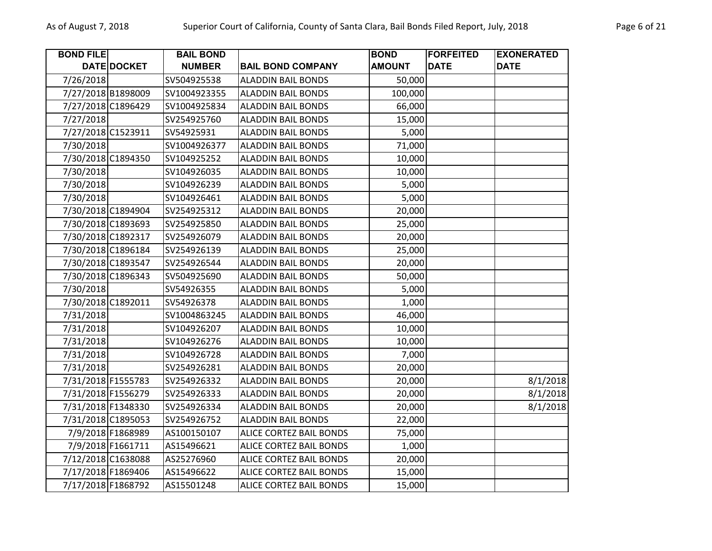| <b>BOND FILE</b> |                    | <b>BAIL BOND</b> |                                | <b>BOND</b>   | <b>FORFEITED</b> | <b>EXONERATED</b> |
|------------------|--------------------|------------------|--------------------------------|---------------|------------------|-------------------|
|                  | DATE DOCKET        | <b>NUMBER</b>    | <b>BAIL BOND COMPANY</b>       | <b>AMOUNT</b> | <b>DATE</b>      | <b>DATE</b>       |
| 7/26/2018        |                    | SV504925538      | <b>ALADDIN BAIL BONDS</b>      | 50,000        |                  |                   |
|                  | 7/27/2018 B1898009 | SV1004923355     | <b>ALADDIN BAIL BONDS</b>      | 100,000       |                  |                   |
|                  | 7/27/2018 C1896429 | SV1004925834     | <b>ALADDIN BAIL BONDS</b>      | 66,000        |                  |                   |
| 7/27/2018        |                    | SV254925760      | <b>ALADDIN BAIL BONDS</b>      | 15,000        |                  |                   |
|                  | 7/27/2018 C1523911 | SV54925931       | <b>ALADDIN BAIL BONDS</b>      | 5,000         |                  |                   |
| 7/30/2018        |                    | SV1004926377     | <b>ALADDIN BAIL BONDS</b>      | 71,000        |                  |                   |
|                  | 7/30/2018 C1894350 | SV104925252      | <b>ALADDIN BAIL BONDS</b>      | 10,000        |                  |                   |
| 7/30/2018        |                    | SV104926035      | <b>ALADDIN BAIL BONDS</b>      | 10,000        |                  |                   |
| 7/30/2018        |                    | SV104926239      | <b>ALADDIN BAIL BONDS</b>      | 5,000         |                  |                   |
| 7/30/2018        |                    | SV104926461      | <b>ALADDIN BAIL BONDS</b>      | 5,000         |                  |                   |
|                  | 7/30/2018 C1894904 | SV254925312      | <b>ALADDIN BAIL BONDS</b>      | 20,000        |                  |                   |
|                  | 7/30/2018 C1893693 | SV254925850      | <b>ALADDIN BAIL BONDS</b>      | 25,000        |                  |                   |
|                  | 7/30/2018 C1892317 | SV254926079      | <b>ALADDIN BAIL BONDS</b>      | 20,000        |                  |                   |
|                  | 7/30/2018 C1896184 | SV254926139      | <b>ALADDIN BAIL BONDS</b>      | 25,000        |                  |                   |
|                  | 7/30/2018 C1893547 | SV254926544      | <b>ALADDIN BAIL BONDS</b>      | 20,000        |                  |                   |
|                  | 7/30/2018 C1896343 | SV504925690      | <b>ALADDIN BAIL BONDS</b>      | 50,000        |                  |                   |
| 7/30/2018        |                    | SV54926355       | <b>ALADDIN BAIL BONDS</b>      | 5,000         |                  |                   |
|                  | 7/30/2018 C1892011 | SV54926378       | <b>ALADDIN BAIL BONDS</b>      | 1,000         |                  |                   |
| 7/31/2018        |                    | SV1004863245     | <b>ALADDIN BAIL BONDS</b>      | 46,000        |                  |                   |
| 7/31/2018        |                    | SV104926207      | <b>ALADDIN BAIL BONDS</b>      | 10,000        |                  |                   |
| 7/31/2018        |                    | SV104926276      | <b>ALADDIN BAIL BONDS</b>      | 10,000        |                  |                   |
| 7/31/2018        |                    | SV104926728      | <b>ALADDIN BAIL BONDS</b>      | 7,000         |                  |                   |
| 7/31/2018        |                    | SV254926281      | <b>ALADDIN BAIL BONDS</b>      | 20,000        |                  |                   |
|                  | 7/31/2018 F1555783 | SV254926332      | <b>ALADDIN BAIL BONDS</b>      | 20,000        |                  | 8/1/2018          |
|                  | 7/31/2018 F1556279 | SV254926333      | <b>ALADDIN BAIL BONDS</b>      | 20,000        |                  | 8/1/2018          |
|                  | 7/31/2018 F1348330 | SV254926334      | <b>ALADDIN BAIL BONDS</b>      | 20,000        |                  | 8/1/2018          |
|                  | 7/31/2018 C1895053 | SV254926752      | <b>ALADDIN BAIL BONDS</b>      | 22,000        |                  |                   |
|                  | 7/9/2018 F1868989  | AS100150107      | <b>ALICE CORTEZ BAIL BONDS</b> | 75,000        |                  |                   |
|                  | 7/9/2018 F1661711  | AS15496621       | ALICE CORTEZ BAIL BONDS        | 1,000         |                  |                   |
|                  | 7/12/2018 C1638088 | AS25276960       | ALICE CORTEZ BAIL BONDS        | 20,000        |                  |                   |
|                  | 7/17/2018 F1869406 | AS15496622       | ALICE CORTEZ BAIL BONDS        | 15,000        |                  |                   |
|                  | 7/17/2018 F1868792 | AS15501248       | <b>ALICE CORTEZ BAIL BONDS</b> | 15,000        |                  |                   |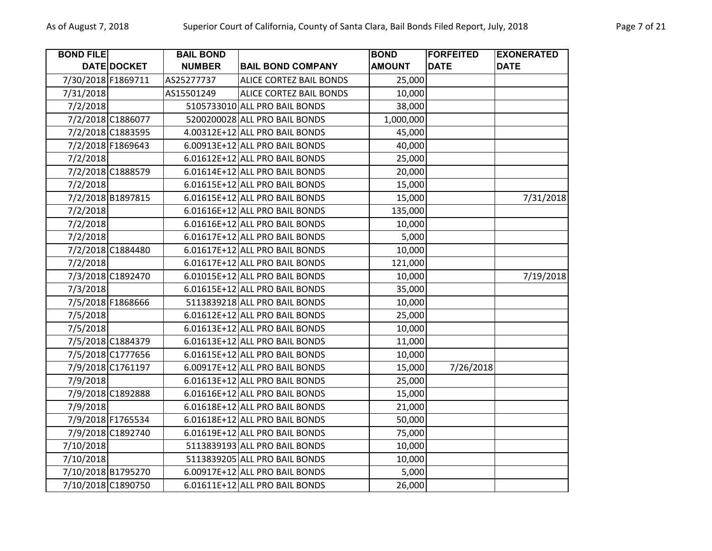| <b>BOND FILE</b>   |                   | <b>BAIL BOND</b> |                                | <b>BOND</b>   | <b>FORFEITED</b> | <b>EXONERATED</b> |
|--------------------|-------------------|------------------|--------------------------------|---------------|------------------|-------------------|
|                    | DATE DOCKET       | <b>NUMBER</b>    | <b>BAIL BOND COMPANY</b>       | <b>AMOUNT</b> | <b>DATE</b>      | <b>DATE</b>       |
| 7/30/2018 F1869711 |                   | AS25277737       | ALICE CORTEZ BAIL BONDS        | 25,000        |                  |                   |
| 7/31/2018          |                   | AS15501249       | <b>ALICE CORTEZ BAIL BONDS</b> | 10,000        |                  |                   |
| 7/2/2018           |                   |                  | 5105733010 ALL PRO BAIL BONDS  | 38,000        |                  |                   |
|                    | 7/2/2018 C1886077 |                  | 5200200028 ALL PRO BAIL BONDS  | 1,000,000     |                  |                   |
|                    | 7/2/2018 C1883595 |                  | 4.00312E+12 ALL PRO BAIL BONDS | 45,000        |                  |                   |
|                    | 7/2/2018 F1869643 |                  | 6.00913E+12 ALL PRO BAIL BONDS | 40,000        |                  |                   |
| 7/2/2018           |                   |                  | 6.01612E+12 ALL PRO BAIL BONDS | 25,000        |                  |                   |
|                    | 7/2/2018 C1888579 |                  | 6.01614E+12 ALL PRO BAIL BONDS | 20,000        |                  |                   |
| 7/2/2018           |                   |                  | 6.01615E+12 ALL PRO BAIL BONDS | 15,000        |                  |                   |
|                    | 7/2/2018 B1897815 |                  | 6.01615E+12 ALL PRO BAIL BONDS | 15,000        |                  | 7/31/2018         |
| 7/2/2018           |                   |                  | 6.01616E+12 ALL PRO BAIL BONDS | 135,000       |                  |                   |
| 7/2/2018           |                   |                  | 6.01616E+12 ALL PRO BAIL BONDS | 10,000        |                  |                   |
| 7/2/2018           |                   |                  | 6.01617E+12 ALL PRO BAIL BONDS | 5,000         |                  |                   |
|                    | 7/2/2018 C1884480 |                  | 6.01617E+12 ALL PRO BAIL BONDS | 10,000        |                  |                   |
| 7/2/2018           |                   |                  | 6.01617E+12 ALL PRO BAIL BONDS | 121,000       |                  |                   |
|                    | 7/3/2018 C1892470 |                  | 6.01015E+12 ALL PRO BAIL BONDS | 10,000        |                  | 7/19/2018         |
| 7/3/2018           |                   |                  | 6.01615E+12 ALL PRO BAIL BONDS | 35,000        |                  |                   |
|                    | 7/5/2018 F1868666 |                  | 5113839218 ALL PRO BAIL BONDS  | 10,000        |                  |                   |
| 7/5/2018           |                   |                  | 6.01612E+12 ALL PRO BAIL BONDS | 25,000        |                  |                   |
| 7/5/2018           |                   |                  | 6.01613E+12 ALL PRO BAIL BONDS | 10,000        |                  |                   |
|                    | 7/5/2018 C1884379 |                  | 6.01613E+12 ALL PRO BAIL BONDS | 11,000        |                  |                   |
|                    | 7/5/2018 C1777656 |                  | 6.01615E+12 ALL PRO BAIL BONDS | 10,000        |                  |                   |
|                    | 7/9/2018 C1761197 |                  | 6.00917E+12 ALL PRO BAIL BONDS | 15,000        | 7/26/2018        |                   |
| 7/9/2018           |                   |                  | 6.01613E+12 ALL PRO BAIL BONDS | 25,000        |                  |                   |
|                    | 7/9/2018 C1892888 |                  | 6.01616E+12 ALL PRO BAIL BONDS | 15,000        |                  |                   |
| 7/9/2018           |                   |                  | 6.01618E+12 ALL PRO BAIL BONDS | 21,000        |                  |                   |
|                    | 7/9/2018 F1765534 |                  | 6.01618E+12 ALL PRO BAIL BONDS | 50,000        |                  |                   |
|                    | 7/9/2018 C1892740 |                  | 6.01619E+12 ALL PRO BAIL BONDS | 75,000        |                  |                   |
| 7/10/2018          |                   |                  | 5113839193 ALL PRO BAIL BONDS  | 10,000        |                  |                   |
| 7/10/2018          |                   |                  | 5113839205 ALL PRO BAIL BONDS  | 10,000        |                  |                   |
| 7/10/2018 B1795270 |                   |                  | 6.00917E+12 ALL PRO BAIL BONDS | 5,000         |                  |                   |
| 7/10/2018 C1890750 |                   |                  | 6.01611E+12 ALL PRO BAIL BONDS | 26,000        |                  |                   |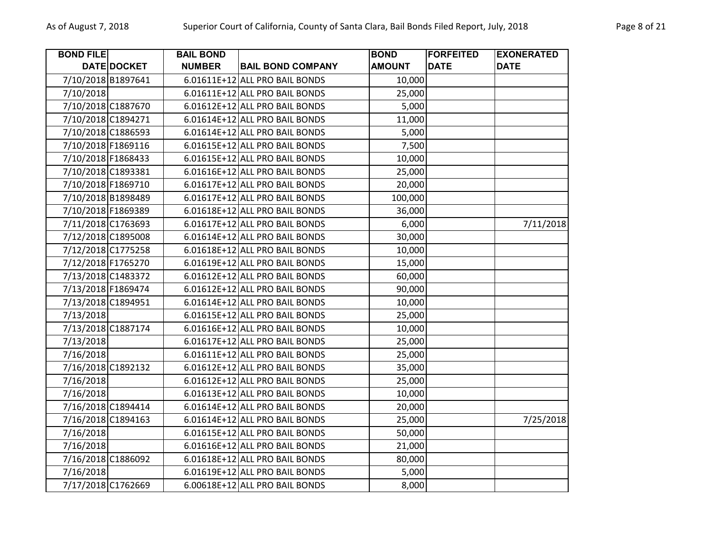| <b>BOND FILE</b>   |                    | <b>BAIL BOND</b> |                                | <b>BOND</b>   | <b>FORFEITED</b> | <b>EXONERATED</b> |
|--------------------|--------------------|------------------|--------------------------------|---------------|------------------|-------------------|
|                    | DATE DOCKET        | <b>NUMBER</b>    | <b>BAIL BOND COMPANY</b>       | <b>AMOUNT</b> | <b>DATE</b>      | <b>DATE</b>       |
| 7/10/2018 B1897641 |                    |                  | 6.01611E+12 ALL PRO BAIL BONDS | 10,000        |                  |                   |
| 7/10/2018          |                    |                  | 6.01611E+12 ALL PRO BAIL BONDS | 25,000        |                  |                   |
|                    | 7/10/2018 C1887670 |                  | 6.01612E+12 ALL PRO BAIL BONDS | 5,000         |                  |                   |
| 7/10/2018 C1894271 |                    |                  | 6.01614E+12 ALL PRO BAIL BONDS | 11,000        |                  |                   |
| 7/10/2018 C1886593 |                    |                  | 6.01614E+12 ALL PRO BAIL BONDS | 5,000         |                  |                   |
| 7/10/2018 F1869116 |                    |                  | 6.01615E+12 ALL PRO BAIL BONDS | 7,500         |                  |                   |
| 7/10/2018 F1868433 |                    |                  | 6.01615E+12 ALL PRO BAIL BONDS | 10,000        |                  |                   |
| 7/10/2018 C1893381 |                    |                  | 6.01616E+12 ALL PRO BAIL BONDS | 25,000        |                  |                   |
|                    | 7/10/2018 F1869710 |                  | 6.01617E+12 ALL PRO BAIL BONDS | 20,000        |                  |                   |
| 7/10/2018 B1898489 |                    |                  | 6.01617E+12 ALL PRO BAIL BONDS | 100,000       |                  |                   |
| 7/10/2018 F1869389 |                    |                  | 6.01618E+12 ALL PRO BAIL BONDS | 36,000        |                  |                   |
|                    | 7/11/2018 C1763693 |                  | 6.01617E+12 ALL PRO BAIL BONDS | 6,000         |                  | 7/11/2018         |
|                    | 7/12/2018 C1895008 |                  | 6.01614E+12 ALL PRO BAIL BONDS | 30,000        |                  |                   |
| 7/12/2018 C1775258 |                    |                  | 6.01618E+12 ALL PRO BAIL BONDS | 10,000        |                  |                   |
| 7/12/2018 F1765270 |                    |                  | 6.01619E+12 ALL PRO BAIL BONDS | 15,000        |                  |                   |
|                    | 7/13/2018 C1483372 |                  | 6.01612E+12 ALL PRO BAIL BONDS | 60,000        |                  |                   |
| 7/13/2018 F1869474 |                    |                  | 6.01612E+12 ALL PRO BAIL BONDS | 90,000        |                  |                   |
| 7/13/2018 C1894951 |                    |                  | 6.01614E+12 ALL PRO BAIL BONDS | 10,000        |                  |                   |
| 7/13/2018          |                    |                  | 6.01615E+12 ALL PRO BAIL BONDS | 25,000        |                  |                   |
| 7/13/2018 C1887174 |                    |                  | 6.01616E+12 ALL PRO BAIL BONDS | 10,000        |                  |                   |
| 7/13/2018          |                    |                  | 6.01617E+12 ALL PRO BAIL BONDS | 25,000        |                  |                   |
| 7/16/2018          |                    |                  | 6.01611E+12 ALL PRO BAIL BONDS | 25,000        |                  |                   |
| 7/16/2018 C1892132 |                    |                  | 6.01612E+12 ALL PRO BAIL BONDS | 35,000        |                  |                   |
| 7/16/2018          |                    |                  | 6.01612E+12 ALL PRO BAIL BONDS | 25,000        |                  |                   |
| 7/16/2018          |                    |                  | 6.01613E+12 ALL PRO BAIL BONDS | 10,000        |                  |                   |
|                    | 7/16/2018 C1894414 |                  | 6.01614E+12 ALL PRO BAIL BONDS | 20,000        |                  |                   |
| 7/16/2018 C1894163 |                    |                  | 6.01614E+12 ALL PRO BAIL BONDS | 25,000        |                  | 7/25/2018         |
| 7/16/2018          |                    |                  | 6.01615E+12 ALL PRO BAIL BONDS | 50,000        |                  |                   |
| 7/16/2018          |                    |                  | 6.01616E+12 ALL PRO BAIL BONDS | 21,000        |                  |                   |
| 7/16/2018 C1886092 |                    |                  | 6.01618E+12 ALL PRO BAIL BONDS | 80,000        |                  |                   |
| 7/16/2018          |                    |                  | 6.01619E+12 ALL PRO BAIL BONDS | 5,000         |                  |                   |
| 7/17/2018 C1762669 |                    |                  | 6.00618E+12 ALL PRO BAIL BONDS | 8,000         |                  |                   |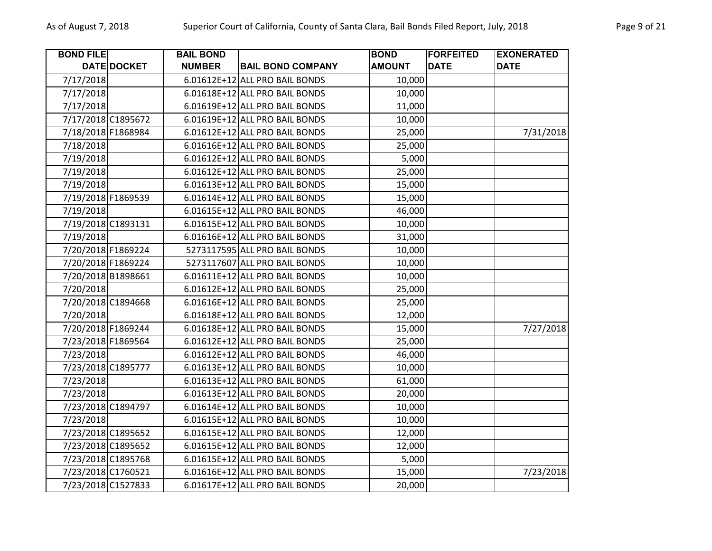| <b>BOND FILE</b> |                    | <b>BAIL BOND</b> |                                | <b>BOND</b>   | <b>FORFEITED</b> | <b>EXONERATED</b> |
|------------------|--------------------|------------------|--------------------------------|---------------|------------------|-------------------|
|                  | DATE DOCKET        | <b>NUMBER</b>    | <b>BAIL BOND COMPANY</b>       | <b>AMOUNT</b> | <b>DATE</b>      | <b>DATE</b>       |
| 7/17/2018        |                    |                  | 6.01612E+12 ALL PRO BAIL BONDS | 10,000        |                  |                   |
| 7/17/2018        |                    |                  | 6.01618E+12 ALL PRO BAIL BONDS | 10,000        |                  |                   |
| 7/17/2018        |                    |                  | 6.01619E+12 ALL PRO BAIL BONDS | 11,000        |                  |                   |
|                  | 7/17/2018 C1895672 |                  | 6.01619E+12 ALL PRO BAIL BONDS | 10,000        |                  |                   |
|                  | 7/18/2018 F1868984 |                  | 6.01612E+12 ALL PRO BAIL BONDS | 25,000        |                  | 7/31/2018         |
| 7/18/2018        |                    |                  | 6.01616E+12 ALL PRO BAIL BONDS | 25,000        |                  |                   |
| 7/19/2018        |                    |                  | 6.01612E+12 ALL PRO BAIL BONDS | 5,000         |                  |                   |
| 7/19/2018        |                    |                  | 6.01612E+12 ALL PRO BAIL BONDS | 25,000        |                  |                   |
| 7/19/2018        |                    |                  | 6.01613E+12 ALL PRO BAIL BONDS | 15,000        |                  |                   |
|                  | 7/19/2018 F1869539 |                  | 6.01614E+12 ALL PRO BAIL BONDS | 15,000        |                  |                   |
| 7/19/2018        |                    |                  | 6.01615E+12 ALL PRO BAIL BONDS | 46,000        |                  |                   |
|                  | 7/19/2018 C1893131 |                  | 6.01615E+12 ALL PRO BAIL BONDS | 10,000        |                  |                   |
| 7/19/2018        |                    |                  | 6.01616E+12 ALL PRO BAIL BONDS | 31,000        |                  |                   |
|                  | 7/20/2018 F1869224 |                  | 5273117595 ALL PRO BAIL BONDS  | 10,000        |                  |                   |
|                  | 7/20/2018 F1869224 |                  | 5273117607 ALL PRO BAIL BONDS  | 10,000        |                  |                   |
|                  | 7/20/2018 B1898661 |                  | 6.01611E+12 ALL PRO BAIL BONDS | 10,000        |                  |                   |
| 7/20/2018        |                    |                  | 6.01612E+12 ALL PRO BAIL BONDS | 25,000        |                  |                   |
|                  | 7/20/2018 C1894668 |                  | 6.01616E+12 ALL PRO BAIL BONDS | 25,000        |                  |                   |
| 7/20/2018        |                    |                  | 6.01618E+12 ALL PRO BAIL BONDS | 12,000        |                  |                   |
|                  | 7/20/2018 F1869244 |                  | 6.01618E+12 ALL PRO BAIL BONDS | 15,000        |                  | 7/27/2018         |
|                  | 7/23/2018 F1869564 |                  | 6.01612E+12 ALL PRO BAIL BONDS | 25,000        |                  |                   |
| 7/23/2018        |                    |                  | 6.01612E+12 ALL PRO BAIL BONDS | 46,000        |                  |                   |
|                  | 7/23/2018 C1895777 |                  | 6.01613E+12 ALL PRO BAIL BONDS | 10,000        |                  |                   |
| 7/23/2018        |                    |                  | 6.01613E+12 ALL PRO BAIL BONDS | 61,000        |                  |                   |
| 7/23/2018        |                    |                  | 6.01613E+12 ALL PRO BAIL BONDS | 20,000        |                  |                   |
|                  | 7/23/2018 C1894797 |                  | 6.01614E+12 ALL PRO BAIL BONDS | 10,000        |                  |                   |
| 7/23/2018        |                    |                  | 6.01615E+12 ALL PRO BAIL BONDS | 10,000        |                  |                   |
|                  | 7/23/2018 C1895652 |                  | 6.01615E+12 ALL PRO BAIL BONDS | 12,000        |                  |                   |
|                  | 7/23/2018 C1895652 |                  | 6.01615E+12 ALL PRO BAIL BONDS | 12,000        |                  |                   |
|                  | 7/23/2018 C1895768 |                  | 6.01615E+12 ALL PRO BAIL BONDS | 5,000         |                  |                   |
|                  | 7/23/2018 C1760521 |                  | 6.01616E+12 ALL PRO BAIL BONDS | 15,000        |                  | 7/23/2018         |
|                  | 7/23/2018 C1527833 |                  | 6.01617E+12 ALL PRO BAIL BONDS | 20,000        |                  |                   |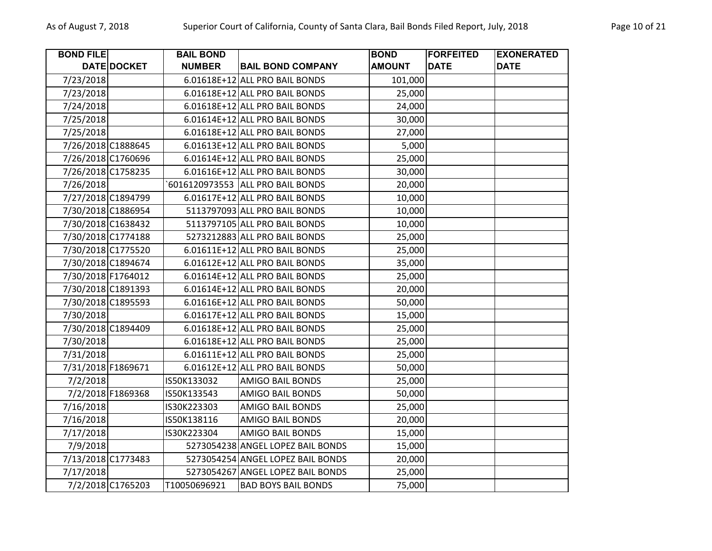| <b>BOND FILE</b>   |                    | <b>BAIL BOND</b> |                                   | <b>BOND</b>   | <b>FORFEITED</b> | <b>EXONERATED</b> |
|--------------------|--------------------|------------------|-----------------------------------|---------------|------------------|-------------------|
|                    | DATE DOCKET        | <b>NUMBER</b>    | <b>BAIL BOND COMPANY</b>          | <b>AMOUNT</b> | <b>DATE</b>      | <b>DATE</b>       |
| 7/23/2018          |                    |                  | 6.01618E+12 ALL PRO BAIL BONDS    | 101,000       |                  |                   |
| 7/23/2018          |                    |                  | 6.01618E+12 ALL PRO BAIL BONDS    | 25,000        |                  |                   |
| 7/24/2018          |                    |                  | 6.01618E+12 ALL PRO BAIL BONDS    | 24,000        |                  |                   |
| 7/25/2018          |                    |                  | 6.01614E+12 ALL PRO BAIL BONDS    | 30,000        |                  |                   |
| 7/25/2018          |                    |                  | 6.01618E+12 ALL PRO BAIL BONDS    | 27,000        |                  |                   |
| 7/26/2018 C1888645 |                    |                  | 6.01613E+12 ALL PRO BAIL BONDS    | 5,000         |                  |                   |
| 7/26/2018 C1760696 |                    |                  | 6.01614E+12 ALL PRO BAIL BONDS    | 25,000        |                  |                   |
| 7/26/2018 C1758235 |                    |                  | 6.01616E+12 ALL PRO BAIL BONDS    | 30,000        |                  |                   |
| 7/26/2018          |                    |                  | 6016120973553 ALL PRO BAIL BONDS  | 20,000        |                  |                   |
| 7/27/2018 C1894799 |                    |                  | 6.01617E+12 ALL PRO BAIL BONDS    | 10,000        |                  |                   |
| 7/30/2018 C1886954 |                    |                  | 5113797093 ALL PRO BAIL BONDS     | 10,000        |                  |                   |
| 7/30/2018 C1638432 |                    |                  | 5113797105 ALL PRO BAIL BONDS     | 10,000        |                  |                   |
| 7/30/2018 C1774188 |                    |                  | 5273212883 ALL PRO BAIL BONDS     | 25,000        |                  |                   |
|                    | 7/30/2018 C1775520 |                  | 6.01611E+12 ALL PRO BAIL BONDS    | 25,000        |                  |                   |
| 7/30/2018 C1894674 |                    |                  | 6.01612E+12 ALL PRO BAIL BONDS    | 35,000        |                  |                   |
| 7/30/2018 F1764012 |                    |                  | 6.01614E+12 ALL PRO BAIL BONDS    | 25,000        |                  |                   |
| 7/30/2018 C1891393 |                    |                  | 6.01614E+12 ALL PRO BAIL BONDS    | 20,000        |                  |                   |
| 7/30/2018 C1895593 |                    |                  | 6.01616E+12 ALL PRO BAIL BONDS    | 50,000        |                  |                   |
| 7/30/2018          |                    |                  | 6.01617E+12 ALL PRO BAIL BONDS    | 15,000        |                  |                   |
| 7/30/2018 C1894409 |                    |                  | 6.01618E+12 ALL PRO BAIL BONDS    | 25,000        |                  |                   |
| 7/30/2018          |                    |                  | 6.01618E+12 ALL PRO BAIL BONDS    | 25,000        |                  |                   |
| 7/31/2018          |                    |                  | 6.01611E+12 ALL PRO BAIL BONDS    | 25,000        |                  |                   |
| 7/31/2018 F1869671 |                    |                  | 6.01612E+12 ALL PRO BAIL BONDS    | 50,000        |                  |                   |
| 7/2/2018           |                    | IS50K133032      | <b>AMIGO BAIL BONDS</b>           | 25,000        |                  |                   |
|                    | 7/2/2018 F1869368  | IS50K133543      | <b>AMIGO BAIL BONDS</b>           | 50,000        |                  |                   |
| 7/16/2018          |                    | IS30K223303      | <b>AMIGO BAIL BONDS</b>           | 25,000        |                  |                   |
| 7/16/2018          |                    | IS50K138116      | <b>AMIGO BAIL BONDS</b>           | 20,000        |                  |                   |
| 7/17/2018          |                    | IS30K223304      | <b>AMIGO BAIL BONDS</b>           | 15,000        |                  |                   |
| 7/9/2018           |                    |                  | 5273054238 ANGEL LOPEZ BAIL BONDS | 15,000        |                  |                   |
| 7/13/2018 C1773483 |                    |                  | 5273054254 ANGEL LOPEZ BAIL BONDS | 20,000        |                  |                   |
| 7/17/2018          |                    |                  | 5273054267 ANGEL LOPEZ BAIL BONDS | 25,000        |                  |                   |
|                    | 7/2/2018 C1765203  | T10050696921     | <b>BAD BOYS BAIL BONDS</b>        | 75,000        |                  |                   |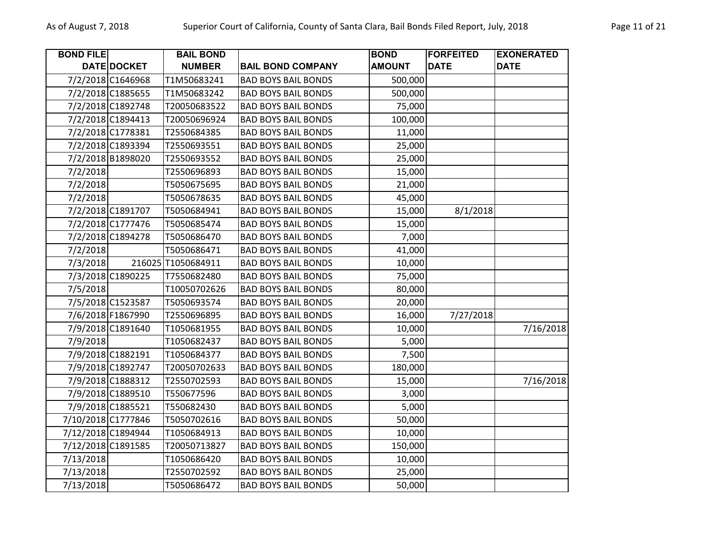| <b>BOND FILE</b> |                    | <b>BAIL BOND</b>   |                            | <b>BOND</b>   | <b>FORFEITED</b> | <b>EXONERATED</b> |
|------------------|--------------------|--------------------|----------------------------|---------------|------------------|-------------------|
|                  | DATE DOCKET        | <b>NUMBER</b>      | <b>BAIL BOND COMPANY</b>   | <b>AMOUNT</b> | <b>DATE</b>      | <b>DATE</b>       |
|                  | 7/2/2018 C1646968  | T1M50683241        | <b>BAD BOYS BAIL BONDS</b> | 500,000       |                  |                   |
|                  | 7/2/2018 C1885655  | T1M50683242        | <b>BAD BOYS BAIL BONDS</b> | 500,000       |                  |                   |
|                  | 7/2/2018 C1892748  | T20050683522       | <b>BAD BOYS BAIL BONDS</b> | 75,000        |                  |                   |
|                  | 7/2/2018 C1894413  | T20050696924       | <b>BAD BOYS BAIL BONDS</b> | 100,000       |                  |                   |
|                  | 7/2/2018 C1778381  | T2550684385        | <b>BAD BOYS BAIL BONDS</b> | 11,000        |                  |                   |
|                  | 7/2/2018 C1893394  | T2550693551        | <b>BAD BOYS BAIL BONDS</b> | 25,000        |                  |                   |
|                  | 7/2/2018 B1898020  | T2550693552        | <b>BAD BOYS BAIL BONDS</b> | 25,000        |                  |                   |
| 7/2/2018         |                    | T2550696893        | <b>BAD BOYS BAIL BONDS</b> | 15,000        |                  |                   |
| 7/2/2018         |                    | T5050675695        | <b>BAD BOYS BAIL BONDS</b> | 21,000        |                  |                   |
| 7/2/2018         |                    | T5050678635        | <b>BAD BOYS BAIL BONDS</b> | 45,000        |                  |                   |
|                  | 7/2/2018 C1891707  | T5050684941        | <b>BAD BOYS BAIL BONDS</b> | 15,000        | 8/1/2018         |                   |
|                  | 7/2/2018 C1777476  | T5050685474        | <b>BAD BOYS BAIL BONDS</b> | 15,000        |                  |                   |
|                  | 7/2/2018 C1894278  | T5050686470        | <b>BAD BOYS BAIL BONDS</b> | 7,000         |                  |                   |
| 7/2/2018         |                    | T5050686471        | <b>BAD BOYS BAIL BONDS</b> | 41,000        |                  |                   |
| 7/3/2018         |                    | 216025 T1050684911 | <b>BAD BOYS BAIL BONDS</b> | 10,000        |                  |                   |
|                  | 7/3/2018 C1890225  | T7550682480        | <b>BAD BOYS BAIL BONDS</b> | 75,000        |                  |                   |
| 7/5/2018         |                    | T10050702626       | <b>BAD BOYS BAIL BONDS</b> | 80,000        |                  |                   |
|                  | 7/5/2018 C1523587  | T5050693574        | <b>BAD BOYS BAIL BONDS</b> | 20,000        |                  |                   |
|                  | 7/6/2018 F1867990  | T2550696895        | <b>BAD BOYS BAIL BONDS</b> | 16,000        | 7/27/2018        |                   |
|                  | 7/9/2018 C1891640  | T1050681955        | <b>BAD BOYS BAIL BONDS</b> | 10,000        |                  | 7/16/2018         |
| 7/9/2018         |                    | T1050682437        | <b>BAD BOYS BAIL BONDS</b> | 5,000         |                  |                   |
|                  | 7/9/2018 C1882191  | T1050684377        | <b>BAD BOYS BAIL BONDS</b> | 7,500         |                  |                   |
|                  | 7/9/2018 C1892747  | T20050702633       | <b>BAD BOYS BAIL BONDS</b> | 180,000       |                  |                   |
|                  | 7/9/2018 C1888312  | T2550702593        | <b>BAD BOYS BAIL BONDS</b> | 15,000        |                  | 7/16/2018         |
|                  | 7/9/2018 C1889510  | T550677596         | <b>BAD BOYS BAIL BONDS</b> | 3,000         |                  |                   |
|                  | 7/9/2018 C1885521  | T550682430         | <b>BAD BOYS BAIL BONDS</b> | 5,000         |                  |                   |
|                  | 7/10/2018 C1777846 | T5050702616        | <b>BAD BOYS BAIL BONDS</b> | 50,000        |                  |                   |
|                  | 7/12/2018 C1894944 | T1050684913        | <b>BAD BOYS BAIL BONDS</b> | 10,000        |                  |                   |
|                  | 7/12/2018 C1891585 | T20050713827       | <b>BAD BOYS BAIL BONDS</b> | 150,000       |                  |                   |
| 7/13/2018        |                    | T1050686420        | <b>BAD BOYS BAIL BONDS</b> | 10,000        |                  |                   |
| 7/13/2018        |                    | T2550702592        | <b>BAD BOYS BAIL BONDS</b> | 25,000        |                  |                   |
| 7/13/2018        |                    | T5050686472        | <b>BAD BOYS BAIL BONDS</b> | 50,000        |                  |                   |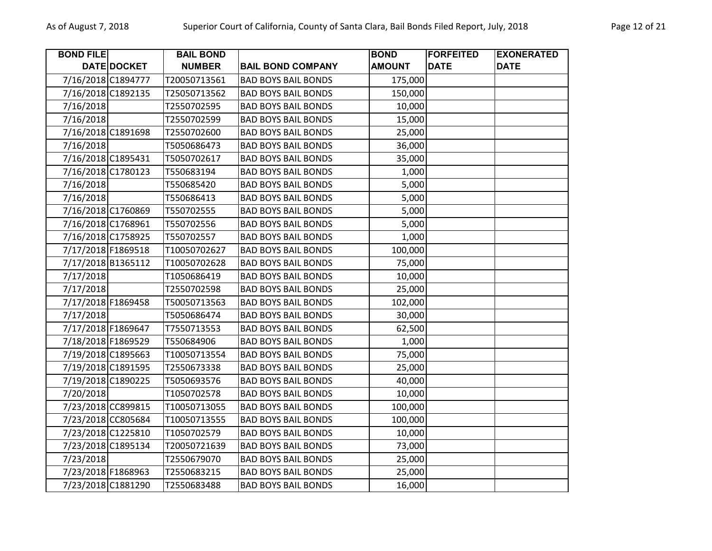| <b>BOND FILE</b>   |                    | <b>BAIL BOND</b> |                            | <b>BOND</b>   | <b>FORFEITED</b> | <b>EXONERATED</b> |
|--------------------|--------------------|------------------|----------------------------|---------------|------------------|-------------------|
|                    | <b>DATE DOCKET</b> | <b>NUMBER</b>    | <b>BAIL BOND COMPANY</b>   | <b>AMOUNT</b> | <b>DATE</b>      | <b>DATE</b>       |
|                    | 7/16/2018 C1894777 | T20050713561     | <b>BAD BOYS BAIL BONDS</b> | 175,000       |                  |                   |
| 7/16/2018 C1892135 |                    | T25050713562     | <b>BAD BOYS BAIL BONDS</b> | 150,000       |                  |                   |
| 7/16/2018          |                    | T2550702595      | <b>BAD BOYS BAIL BONDS</b> | 10,000        |                  |                   |
| 7/16/2018          |                    | T2550702599      | <b>BAD BOYS BAIL BONDS</b> | 15,000        |                  |                   |
|                    | 7/16/2018 C1891698 | T2550702600      | <b>BAD BOYS BAIL BONDS</b> | 25,000        |                  |                   |
| 7/16/2018          |                    | T5050686473      | <b>BAD BOYS BAIL BONDS</b> | 36,000        |                  |                   |
|                    | 7/16/2018 C1895431 | T5050702617      | <b>BAD BOYS BAIL BONDS</b> | 35,000        |                  |                   |
|                    | 7/16/2018 C1780123 | T550683194       | <b>BAD BOYS BAIL BONDS</b> | 1,000         |                  |                   |
| 7/16/2018          |                    | T550685420       | <b>BAD BOYS BAIL BONDS</b> | 5,000         |                  |                   |
| 7/16/2018          |                    | T550686413       | <b>BAD BOYS BAIL BONDS</b> | 5,000         |                  |                   |
|                    | 7/16/2018 C1760869 | T550702555       | <b>BAD BOYS BAIL BONDS</b> | 5,000         |                  |                   |
|                    | 7/16/2018 C1768961 | T550702556       | <b>BAD BOYS BAIL BONDS</b> | 5,000         |                  |                   |
|                    | 7/16/2018 C1758925 | T550702557       | <b>BAD BOYS BAIL BONDS</b> | 1,000         |                  |                   |
| 7/17/2018 F1869518 |                    | T10050702627     | <b>BAD BOYS BAIL BONDS</b> | 100,000       |                  |                   |
|                    | 7/17/2018 B1365112 | T10050702628     | <b>BAD BOYS BAIL BONDS</b> | 75,000        |                  |                   |
| 7/17/2018          |                    | T1050686419      | <b>BAD BOYS BAIL BONDS</b> | 10,000        |                  |                   |
| 7/17/2018          |                    | T2550702598      | <b>BAD BOYS BAIL BONDS</b> | 25,000        |                  |                   |
| 7/17/2018 F1869458 |                    | T50050713563     | <b>BAD BOYS BAIL BONDS</b> | 102,000       |                  |                   |
| 7/17/2018          |                    | T5050686474      | <b>BAD BOYS BAIL BONDS</b> | 30,000        |                  |                   |
|                    | 7/17/2018 F1869647 | T7550713553      | <b>BAD BOYS BAIL BONDS</b> | 62,500        |                  |                   |
|                    | 7/18/2018 F1869529 | T550684906       | <b>BAD BOYS BAIL BONDS</b> | 1,000         |                  |                   |
|                    | 7/19/2018 C1895663 | T10050713554     | <b>BAD BOYS BAIL BONDS</b> | 75,000        |                  |                   |
|                    | 7/19/2018 C1891595 | T2550673338      | <b>BAD BOYS BAIL BONDS</b> | 25,000        |                  |                   |
|                    | 7/19/2018 C1890225 | T5050693576      | <b>BAD BOYS BAIL BONDS</b> | 40,000        |                  |                   |
| 7/20/2018          |                    | T1050702578      | <b>BAD BOYS BAIL BONDS</b> | 10,000        |                  |                   |
|                    | 7/23/2018 CC899815 | T10050713055     | <b>BAD BOYS BAIL BONDS</b> | 100,000       |                  |                   |
|                    | 7/23/2018 CC805684 | T10050713555     | <b>BAD BOYS BAIL BONDS</b> | 100,000       |                  |                   |
|                    | 7/23/2018 C1225810 | T1050702579      | <b>BAD BOYS BAIL BONDS</b> | 10,000        |                  |                   |
|                    | 7/23/2018 C1895134 | T20050721639     | <b>BAD BOYS BAIL BONDS</b> | 73,000        |                  |                   |
| 7/23/2018          |                    | T2550679070      | <b>BAD BOYS BAIL BONDS</b> | 25,000        |                  |                   |
|                    | 7/23/2018 F1868963 | T2550683215      | <b>BAD BOYS BAIL BONDS</b> | 25,000        |                  |                   |
|                    | 7/23/2018 C1881290 | T2550683488      | <b>BAD BOYS BAIL BONDS</b> | 16,000        |                  |                   |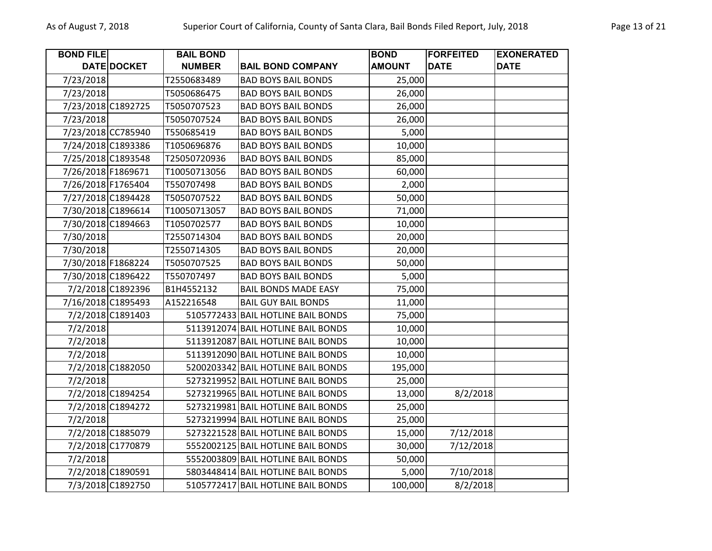| <b>BOND FILE</b>   |                    | <b>BAIL BOND</b> |                                    | <b>BOND</b>   | <b>FORFEITED</b> | <b>EXONERATED</b> |
|--------------------|--------------------|------------------|------------------------------------|---------------|------------------|-------------------|
|                    | DATE DOCKET        | <b>NUMBER</b>    | <b>BAIL BOND COMPANY</b>           | <b>AMOUNT</b> | <b>DATE</b>      | <b>DATE</b>       |
| 7/23/2018          |                    | T2550683489      | <b>BAD BOYS BAIL BONDS</b>         | 25,000        |                  |                   |
| 7/23/2018          |                    | T5050686475      | <b>BAD BOYS BAIL BONDS</b>         | 26,000        |                  |                   |
|                    | 7/23/2018 C1892725 | T5050707523      | <b>BAD BOYS BAIL BONDS</b>         | 26,000        |                  |                   |
| 7/23/2018          |                    | T5050707524      | <b>BAD BOYS BAIL BONDS</b>         | 26,000        |                  |                   |
|                    | 7/23/2018 CC785940 | T550685419       | <b>BAD BOYS BAIL BONDS</b>         | 5,000         |                  |                   |
|                    | 7/24/2018 C1893386 | T1050696876      | <b>BAD BOYS BAIL BONDS</b>         | 10,000        |                  |                   |
|                    | 7/25/2018 C1893548 | T25050720936     | <b>BAD BOYS BAIL BONDS</b>         | 85,000        |                  |                   |
| 7/26/2018 F1869671 |                    | T10050713056     | <b>BAD BOYS BAIL BONDS</b>         | 60,000        |                  |                   |
| 7/26/2018 F1765404 |                    | T550707498       | <b>BAD BOYS BAIL BONDS</b>         | 2,000         |                  |                   |
|                    | 7/27/2018 C1894428 | T5050707522      | <b>BAD BOYS BAIL BONDS</b>         | 50,000        |                  |                   |
|                    | 7/30/2018 C1896614 | T10050713057     | <b>BAD BOYS BAIL BONDS</b>         | 71,000        |                  |                   |
|                    | 7/30/2018 C1894663 | T1050702577      | <b>BAD BOYS BAIL BONDS</b>         | 10,000        |                  |                   |
| 7/30/2018          |                    | T2550714304      | <b>BAD BOYS BAIL BONDS</b>         | 20,000        |                  |                   |
| 7/30/2018          |                    | T2550714305      | <b>BAD BOYS BAIL BONDS</b>         | 20,000        |                  |                   |
|                    | 7/30/2018 F1868224 | T5050707525      | <b>BAD BOYS BAIL BONDS</b>         | 50,000        |                  |                   |
|                    | 7/30/2018 C1896422 | T550707497       | <b>BAD BOYS BAIL BONDS</b>         | 5,000         |                  |                   |
|                    | 7/2/2018 C1892396  | B1H4552132       | <b>BAIL BONDS MADE EASY</b>        | 75,000        |                  |                   |
|                    | 7/16/2018 C1895493 | A152216548       | <b>BAIL GUY BAIL BONDS</b>         | 11,000        |                  |                   |
|                    | 7/2/2018 C1891403  |                  | 5105772433 BAIL HOTLINE BAIL BONDS | 75,000        |                  |                   |
| 7/2/2018           |                    |                  | 5113912074 BAIL HOTLINE BAIL BONDS | 10,000        |                  |                   |
| 7/2/2018           |                    |                  | 5113912087 BAIL HOTLINE BAIL BONDS | 10,000        |                  |                   |
| 7/2/2018           |                    |                  | 5113912090 BAIL HOTLINE BAIL BONDS | 10,000        |                  |                   |
|                    | 7/2/2018 C1882050  |                  | 5200203342 BAIL HOTLINE BAIL BONDS | 195,000       |                  |                   |
| 7/2/2018           |                    |                  | 5273219952 BAIL HOTLINE BAIL BONDS | 25,000        |                  |                   |
|                    | 7/2/2018 C1894254  |                  | 5273219965 BAIL HOTLINE BAIL BONDS | 13,000        | 8/2/2018         |                   |
|                    | 7/2/2018 C1894272  |                  | 5273219981 BAIL HOTLINE BAIL BONDS | 25,000        |                  |                   |
| 7/2/2018           |                    |                  | 5273219994 BAIL HOTLINE BAIL BONDS | 25,000        |                  |                   |
|                    | 7/2/2018 C1885079  |                  | 5273221528 BAIL HOTLINE BAIL BONDS | 15,000        | 7/12/2018        |                   |
|                    | 7/2/2018 C1770879  |                  | 5552002125 BAIL HOTLINE BAIL BONDS | 30,000        | 7/12/2018        |                   |
| 7/2/2018           |                    |                  | 5552003809 BAIL HOTLINE BAIL BONDS | 50,000        |                  |                   |
|                    | 7/2/2018 C1890591  |                  | 5803448414 BAIL HOTLINE BAIL BONDS | 5,000         | 7/10/2018        |                   |
|                    | 7/3/2018 C1892750  |                  | 5105772417 BAIL HOTLINE BAIL BONDS | 100,000       | 8/2/2018         |                   |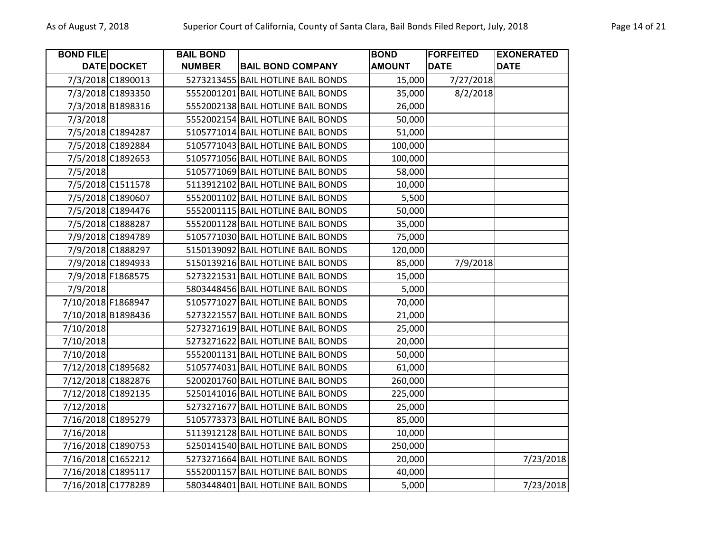| <b>BOND FILE</b> |                    | <b>BAIL BOND</b> |                                    | <b>BOND</b>   | <b>FORFEITED</b> | <b>EXONERATED</b> |
|------------------|--------------------|------------------|------------------------------------|---------------|------------------|-------------------|
|                  | DATE DOCKET        | <b>NUMBER</b>    | <b>BAIL BOND COMPANY</b>           | <b>AMOUNT</b> | <b>DATE</b>      | <b>DATE</b>       |
|                  | 7/3/2018 C1890013  |                  | 5273213455 BAIL HOTLINE BAIL BONDS | 15,000        | 7/27/2018        |                   |
|                  | 7/3/2018 C1893350  |                  | 5552001201 BAIL HOTLINE BAIL BONDS | 35,000        | 8/2/2018         |                   |
|                  | 7/3/2018 B1898316  |                  | 5552002138 BAIL HOTLINE BAIL BONDS | 26,000        |                  |                   |
| 7/3/2018         |                    |                  | 5552002154 BAIL HOTLINE BAIL BONDS | 50,000        |                  |                   |
|                  | 7/5/2018 C1894287  |                  | 5105771014 BAIL HOTLINE BAIL BONDS | 51,000        |                  |                   |
|                  | 7/5/2018 C1892884  |                  | 5105771043 BAIL HOTLINE BAIL BONDS | 100,000       |                  |                   |
|                  | 7/5/2018 C1892653  |                  | 5105771056 BAIL HOTLINE BAIL BONDS | 100,000       |                  |                   |
| 7/5/2018         |                    |                  | 5105771069 BAIL HOTLINE BAIL BONDS | 58,000        |                  |                   |
|                  | 7/5/2018 C1511578  |                  | 5113912102 BAIL HOTLINE BAIL BONDS | 10,000        |                  |                   |
|                  | 7/5/2018 C1890607  |                  | 5552001102 BAIL HOTLINE BAIL BONDS | 5,500         |                  |                   |
|                  | 7/5/2018 C1894476  |                  | 5552001115 BAIL HOTLINE BAIL BONDS | 50,000        |                  |                   |
|                  | 7/5/2018 C1888287  |                  | 5552001128 BAIL HOTLINE BAIL BONDS | 35,000        |                  |                   |
|                  | 7/9/2018 C1894789  |                  | 5105771030 BAIL HOTLINE BAIL BONDS | 75,000        |                  |                   |
|                  | 7/9/2018 C1888297  |                  | 5150139092 BAIL HOTLINE BAIL BONDS | 120,000       |                  |                   |
|                  | 7/9/2018 C1894933  |                  | 5150139216 BAIL HOTLINE BAIL BONDS | 85,000        | 7/9/2018         |                   |
|                  | 7/9/2018 F1868575  |                  | 5273221531 BAIL HOTLINE BAIL BONDS | 15,000        |                  |                   |
| 7/9/2018         |                    |                  | 5803448456 BAIL HOTLINE BAIL BONDS | 5,000         |                  |                   |
|                  | 7/10/2018 F1868947 |                  | 5105771027 BAIL HOTLINE BAIL BONDS | 70,000        |                  |                   |
|                  | 7/10/2018 B1898436 |                  | 5273221557 BAIL HOTLINE BAIL BONDS | 21,000        |                  |                   |
| 7/10/2018        |                    |                  | 5273271619 BAIL HOTLINE BAIL BONDS | 25,000        |                  |                   |
| 7/10/2018        |                    |                  | 5273271622 BAIL HOTLINE BAIL BONDS | 20,000        |                  |                   |
| 7/10/2018        |                    |                  | 5552001131 BAIL HOTLINE BAIL BONDS | 50,000        |                  |                   |
|                  | 7/12/2018 C1895682 |                  | 5105774031 BAIL HOTLINE BAIL BONDS | 61,000        |                  |                   |
|                  | 7/12/2018 C1882876 |                  | 5200201760 BAIL HOTLINE BAIL BONDS | 260,000       |                  |                   |
|                  | 7/12/2018 C1892135 |                  | 5250141016 BAIL HOTLINE BAIL BONDS | 225,000       |                  |                   |
| 7/12/2018        |                    |                  | 5273271677 BAIL HOTLINE BAIL BONDS | 25,000        |                  |                   |
|                  | 7/16/2018 C1895279 |                  | 5105773373 BAIL HOTLINE BAIL BONDS | 85,000        |                  |                   |
| 7/16/2018        |                    |                  | 5113912128 BAIL HOTLINE BAIL BONDS | 10,000        |                  |                   |
|                  | 7/16/2018 C1890753 |                  | 5250141540 BAIL HOTLINE BAIL BONDS | 250,000       |                  |                   |
|                  | 7/16/2018 C1652212 |                  | 5273271664 BAIL HOTLINE BAIL BONDS | 20,000        |                  | 7/23/2018         |
|                  | 7/16/2018 C1895117 |                  | 5552001157 BAIL HOTLINE BAIL BONDS | 40,000        |                  |                   |
|                  | 7/16/2018 C1778289 |                  | 5803448401 BAIL HOTLINE BAIL BONDS | 5,000         |                  | 7/23/2018         |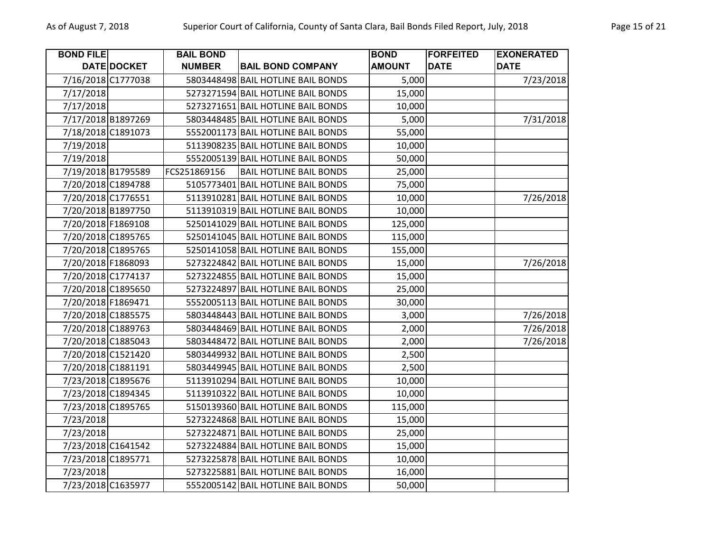| <b>BOND FILE</b>   |                    | <b>BAIL BOND</b> |                                    | <b>BOND</b>   | <b>FORFEITED</b> | <b>EXONERATED</b> |
|--------------------|--------------------|------------------|------------------------------------|---------------|------------------|-------------------|
|                    | DATE DOCKET        | <b>NUMBER</b>    | <b>BAIL BOND COMPANY</b>           | <b>AMOUNT</b> | <b>DATE</b>      | <b>DATE</b>       |
|                    | 7/16/2018 C1777038 |                  | 5803448498 BAIL HOTLINE BAIL BONDS | 5,000         |                  | 7/23/2018         |
| 7/17/2018          |                    |                  | 5273271594 BAIL HOTLINE BAIL BONDS | 15,000        |                  |                   |
| 7/17/2018          |                    |                  | 5273271651 BAIL HOTLINE BAIL BONDS | 10,000        |                  |                   |
|                    | 7/17/2018 B1897269 |                  | 5803448485 BAIL HOTLINE BAIL BONDS | 5,000         |                  | 7/31/2018         |
|                    | 7/18/2018 C1891073 |                  | 5552001173 BAIL HOTLINE BAIL BONDS | 55,000        |                  |                   |
| 7/19/2018          |                    |                  | 5113908235 BAIL HOTLINE BAIL BONDS | 10,000        |                  |                   |
| 7/19/2018          |                    |                  | 5552005139 BAIL HOTLINE BAIL BONDS | 50,000        |                  |                   |
|                    | 7/19/2018 B1795589 | FCS251869156     | <b>BAIL HOTLINE BAIL BONDS</b>     | 25,000        |                  |                   |
|                    | 7/20/2018 C1894788 |                  | 5105773401 BAIL HOTLINE BAIL BONDS | 75,000        |                  |                   |
|                    | 7/20/2018 C1776551 |                  | 5113910281 BAIL HOTLINE BAIL BONDS | 10,000        |                  | 7/26/2018         |
|                    | 7/20/2018 B1897750 |                  | 5113910319 BAIL HOTLINE BAIL BONDS | 10,000        |                  |                   |
|                    | 7/20/2018 F1869108 |                  | 5250141029 BAIL HOTLINE BAIL BONDS | 125,000       |                  |                   |
|                    | 7/20/2018 C1895765 |                  | 5250141045 BAIL HOTLINE BAIL BONDS | 115,000       |                  |                   |
|                    | 7/20/2018 C1895765 |                  | 5250141058 BAIL HOTLINE BAIL BONDS | 155,000       |                  |                   |
|                    | 7/20/2018 F1868093 |                  | 5273224842 BAIL HOTLINE BAIL BONDS | 15,000        |                  | 7/26/2018         |
|                    | 7/20/2018 C1774137 |                  | 5273224855 BAIL HOTLINE BAIL BONDS | 15,000        |                  |                   |
|                    | 7/20/2018 C1895650 |                  | 5273224897 BAIL HOTLINE BAIL BONDS | 25,000        |                  |                   |
| 7/20/2018 F1869471 |                    |                  | 5552005113 BAIL HOTLINE BAIL BONDS | 30,000        |                  |                   |
|                    | 7/20/2018 C1885575 |                  | 5803448443 BAIL HOTLINE BAIL BONDS | 3,000         |                  | 7/26/2018         |
|                    | 7/20/2018 C1889763 |                  | 5803448469 BAIL HOTLINE BAIL BONDS | 2,000         |                  | 7/26/2018         |
|                    | 7/20/2018 C1885043 |                  | 5803448472 BAIL HOTLINE BAIL BONDS | 2,000         |                  | 7/26/2018         |
|                    | 7/20/2018 C1521420 |                  | 5803449932 BAIL HOTLINE BAIL BONDS | 2,500         |                  |                   |
| 7/20/2018 C1881191 |                    |                  | 5803449945 BAIL HOTLINE BAIL BONDS | 2,500         |                  |                   |
|                    | 7/23/2018 C1895676 |                  | 5113910294 BAIL HOTLINE BAIL BONDS | 10,000        |                  |                   |
|                    | 7/23/2018 C1894345 |                  | 5113910322 BAIL HOTLINE BAIL BONDS | 10,000        |                  |                   |
|                    | 7/23/2018 C1895765 |                  | 5150139360 BAIL HOTLINE BAIL BONDS | 115,000       |                  |                   |
| 7/23/2018          |                    |                  | 5273224868 BAIL HOTLINE BAIL BONDS | 15,000        |                  |                   |
| 7/23/2018          |                    |                  | 5273224871 BAIL HOTLINE BAIL BONDS | 25,000        |                  |                   |
|                    | 7/23/2018 C1641542 |                  | 5273224884 BAIL HOTLINE BAIL BONDS | 15,000        |                  |                   |
|                    | 7/23/2018 C1895771 |                  | 5273225878 BAIL HOTLINE BAIL BONDS | 10,000        |                  |                   |
| 7/23/2018          |                    |                  | 5273225881 BAIL HOTLINE BAIL BONDS | 16,000        |                  |                   |
|                    | 7/23/2018 C1635977 |                  | 5552005142 BAIL HOTLINE BAIL BONDS | 50,000        |                  |                   |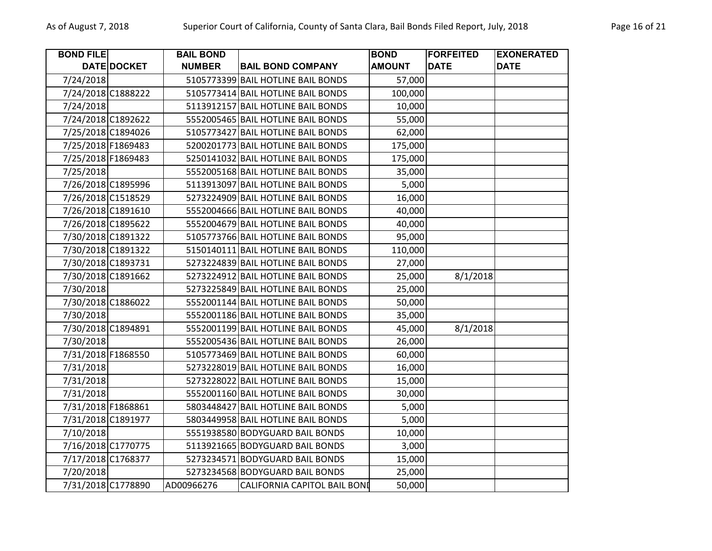| <b>BOND FILE</b> |                    | <b>BAIL BOND</b> |                                     | <b>BOND</b>   | <b>FORFEITED</b> | <b>EXONERATED</b> |
|------------------|--------------------|------------------|-------------------------------------|---------------|------------------|-------------------|
|                  | DATE DOCKET        | <b>NUMBER</b>    | <b>BAIL BOND COMPANY</b>            | <b>AMOUNT</b> | <b>DATE</b>      | <b>DATE</b>       |
| 7/24/2018        |                    |                  | 5105773399 BAIL HOTLINE BAIL BONDS  | 57,000        |                  |                   |
|                  | 7/24/2018 C1888222 |                  | 5105773414 BAIL HOTLINE BAIL BONDS  | 100,000       |                  |                   |
| 7/24/2018        |                    |                  | 5113912157 BAIL HOTLINE BAIL BONDS  | 10,000        |                  |                   |
|                  | 7/24/2018 C1892622 |                  | 5552005465 BAIL HOTLINE BAIL BONDS  | 55,000        |                  |                   |
|                  | 7/25/2018 C1894026 |                  | 5105773427 BAIL HOTLINE BAIL BONDS  | 62,000        |                  |                   |
|                  | 7/25/2018 F1869483 |                  | 5200201773 BAIL HOTLINE BAIL BONDS  | 175,000       |                  |                   |
|                  | 7/25/2018 F1869483 |                  | 5250141032 BAIL HOTLINE BAIL BONDS  | 175,000       |                  |                   |
| 7/25/2018        |                    |                  | 5552005168 BAIL HOTLINE BAIL BONDS  | 35,000        |                  |                   |
|                  | 7/26/2018 C1895996 |                  | 5113913097 BAIL HOTLINE BAIL BONDS  | 5,000         |                  |                   |
|                  | 7/26/2018 C1518529 |                  | 5273224909 BAIL HOTLINE BAIL BONDS  | 16,000        |                  |                   |
|                  | 7/26/2018 C1891610 |                  | 5552004666 BAIL HOTLINE BAIL BONDS  | 40,000        |                  |                   |
|                  | 7/26/2018 C1895622 |                  | 5552004679 BAIL HOTLINE BAIL BONDS  | 40,000        |                  |                   |
|                  | 7/30/2018 C1891322 |                  | 5105773766 BAIL HOTLINE BAIL BONDS  | 95,000        |                  |                   |
|                  | 7/30/2018 C1891322 |                  | 5150140111 BAIL HOTLINE BAIL BONDS  | 110,000       |                  |                   |
|                  | 7/30/2018 C1893731 |                  | 5273224839 BAIL HOTLINE BAIL BONDS  | 27,000        |                  |                   |
|                  | 7/30/2018 C1891662 |                  | 5273224912 BAIL HOTLINE BAIL BONDS  | 25,000        | 8/1/2018         |                   |
| 7/30/2018        |                    |                  | 5273225849 BAIL HOTLINE BAIL BONDS  | 25,000        |                  |                   |
|                  | 7/30/2018 C1886022 |                  | 5552001144 BAIL HOTLINE BAIL BONDS  | 50,000        |                  |                   |
| 7/30/2018        |                    |                  | 5552001186 BAIL HOTLINE BAIL BONDS  | 35,000        |                  |                   |
|                  | 7/30/2018 C1894891 |                  | 5552001199 BAIL HOTLINE BAIL BONDS  | 45,000        | 8/1/2018         |                   |
| 7/30/2018        |                    |                  | 5552005436 BAIL HOTLINE BAIL BONDS  | 26,000        |                  |                   |
|                  | 7/31/2018 F1868550 |                  | 5105773469 BAIL HOTLINE BAIL BONDS  | 60,000        |                  |                   |
| 7/31/2018        |                    |                  | 5273228019 BAIL HOTLINE BAIL BONDS  | 16,000        |                  |                   |
| 7/31/2018        |                    |                  | 5273228022 BAIL HOTLINE BAIL BONDS  | 15,000        |                  |                   |
| 7/31/2018        |                    |                  | 5552001160 BAIL HOTLINE BAIL BONDS  | 30,000        |                  |                   |
|                  | 7/31/2018 F1868861 |                  | 5803448427 BAIL HOTLINE BAIL BONDS  | 5,000         |                  |                   |
|                  | 7/31/2018 C1891977 |                  | 5803449958 BAIL HOTLINE BAIL BONDS  | 5,000         |                  |                   |
| 7/10/2018        |                    |                  | 5551938580 BODYGUARD BAIL BONDS     | 10,000        |                  |                   |
|                  | 7/16/2018 C1770775 |                  | 5113921665 BODYGUARD BAIL BONDS     | 3,000         |                  |                   |
|                  | 7/17/2018 C1768377 |                  | 5273234571 BODYGUARD BAIL BONDS     | 15,000        |                  |                   |
| 7/20/2018        |                    |                  | 5273234568 BODYGUARD BAIL BONDS     | 25,000        |                  |                   |
|                  | 7/31/2018 C1778890 | AD00966276       | <b>CALIFORNIA CAPITOL BAIL BONI</b> | 50,000        |                  |                   |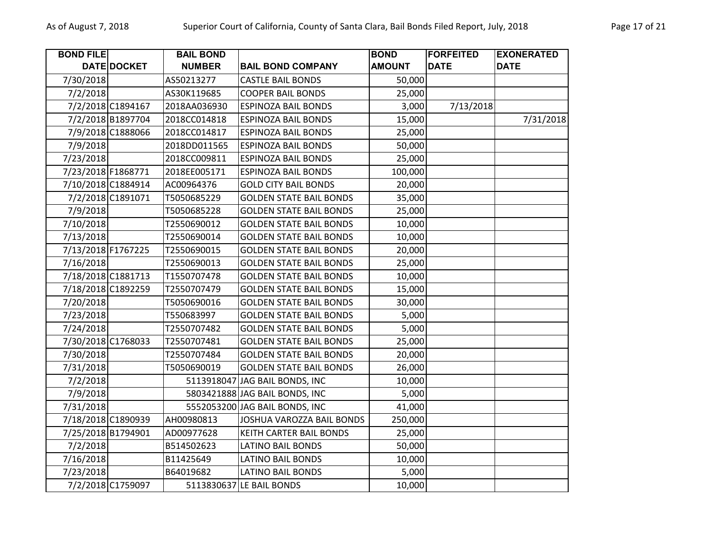| <b>BOND FILE</b>   |                    | <b>BAIL BOND</b> |                                | <b>BOND</b>   | <b>FORFEITED</b> | <b>EXONERATED</b> |
|--------------------|--------------------|------------------|--------------------------------|---------------|------------------|-------------------|
|                    | DATE DOCKET        | <b>NUMBER</b>    | <b>BAIL BOND COMPANY</b>       | <b>AMOUNT</b> | <b>DATE</b>      | <b>DATE</b>       |
| 7/30/2018          |                    | AS50213277       | <b>CASTLE BAIL BONDS</b>       | 50,000        |                  |                   |
| 7/2/2018           |                    | AS30K119685      | <b>COOPER BAIL BONDS</b>       | 25,000        |                  |                   |
|                    | 7/2/2018 C1894167  | 2018AA036930     | <b>ESPINOZA BAIL BONDS</b>     | 3,000         | 7/13/2018        |                   |
|                    | 7/2/2018 B1897704  | 2018CC014818     | <b>ESPINOZA BAIL BONDS</b>     | 15,000        |                  | 7/31/2018         |
|                    | 7/9/2018 C1888066  | 2018CC014817     | <b>ESPINOZA BAIL BONDS</b>     | 25,000        |                  |                   |
| 7/9/2018           |                    | 2018DD011565     | <b>ESPINOZA BAIL BONDS</b>     | 50,000        |                  |                   |
| 7/23/2018          |                    | 2018CC009811     | <b>ESPINOZA BAIL BONDS</b>     | 25,000        |                  |                   |
| 7/23/2018 F1868771 |                    | 2018EE005171     | <b>ESPINOZA BAIL BONDS</b>     | 100,000       |                  |                   |
|                    | 7/10/2018 C1884914 | AC00964376       | <b>GOLD CITY BAIL BONDS</b>    | 20,000        |                  |                   |
|                    | 7/2/2018 C1891071  | T5050685229      | <b>GOLDEN STATE BAIL BONDS</b> | 35,000        |                  |                   |
| 7/9/2018           |                    | T5050685228      | <b>GOLDEN STATE BAIL BONDS</b> | 25,000        |                  |                   |
| 7/10/2018          |                    | T2550690012      | <b>GOLDEN STATE BAIL BONDS</b> | 10,000        |                  |                   |
| 7/13/2018          |                    | T2550690014      | <b>GOLDEN STATE BAIL BONDS</b> | 10,000        |                  |                   |
| 7/13/2018 F1767225 |                    | T2550690015      | <b>GOLDEN STATE BAIL BONDS</b> | 20,000        |                  |                   |
| 7/16/2018          |                    | T2550690013      | <b>GOLDEN STATE BAIL BONDS</b> | 25,000        |                  |                   |
|                    | 7/18/2018 C1881713 | T1550707478      | <b>GOLDEN STATE BAIL BONDS</b> | 10,000        |                  |                   |
|                    | 7/18/2018 C1892259 | T2550707479      | <b>GOLDEN STATE BAIL BONDS</b> | 15,000        |                  |                   |
| 7/20/2018          |                    | T5050690016      | <b>GOLDEN STATE BAIL BONDS</b> | 30,000        |                  |                   |
| 7/23/2018          |                    | T550683997       | <b>GOLDEN STATE BAIL BONDS</b> | 5,000         |                  |                   |
| 7/24/2018          |                    | T2550707482      | <b>GOLDEN STATE BAIL BONDS</b> | 5,000         |                  |                   |
|                    | 7/30/2018 C1768033 | T2550707481      | <b>GOLDEN STATE BAIL BONDS</b> | 25,000        |                  |                   |
| 7/30/2018          |                    | T2550707484      | <b>GOLDEN STATE BAIL BONDS</b> | 20,000        |                  |                   |
| 7/31/2018          |                    | T5050690019      | <b>GOLDEN STATE BAIL BONDS</b> | 26,000        |                  |                   |
| 7/2/2018           |                    |                  | 5113918047 JAG BAIL BONDS, INC | 10,000        |                  |                   |
| 7/9/2018           |                    |                  | 5803421888 JAG BAIL BONDS, INC | 5,000         |                  |                   |
| 7/31/2018          |                    |                  | 5552053200 JAG BAIL BONDS, INC | 41,000        |                  |                   |
|                    | 7/18/2018 C1890939 | AH00980813       | JOSHUA VAROZZA BAIL BONDS      | 250,000       |                  |                   |
|                    | 7/25/2018 B1794901 | AD00977628       | <b>KEITH CARTER BAIL BONDS</b> | 25,000        |                  |                   |
| 7/2/2018           |                    | B514502623       | LATINO BAIL BONDS              | 50,000        |                  |                   |
| 7/16/2018          |                    | B11425649        | <b>LATINO BAIL BONDS</b>       | 10,000        |                  |                   |
| 7/23/2018          |                    | B64019682        | <b>LATINO BAIL BONDS</b>       | 5,000         |                  |                   |
|                    | 7/2/2018 C1759097  |                  | 5113830637 LE BAIL BONDS       | 10,000        |                  |                   |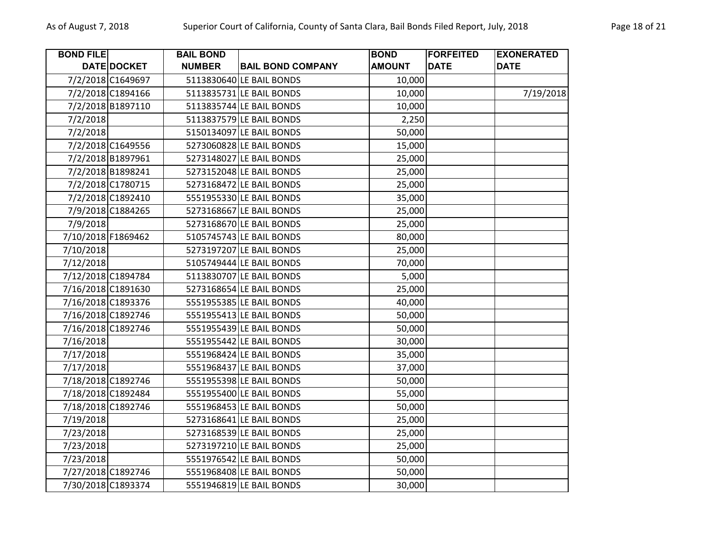| <b>BOND FILE</b> |                    | <b>BAIL BOND</b> |                          | <b>BOND</b>   | <b>FORFEITED</b> | <b>EXONERATED</b> |
|------------------|--------------------|------------------|--------------------------|---------------|------------------|-------------------|
|                  | DATE DOCKET        | <b>NUMBER</b>    | <b>BAIL BOND COMPANY</b> | <b>AMOUNT</b> | <b>DATE</b>      | <b>DATE</b>       |
|                  | 7/2/2018 C1649697  |                  | 5113830640 LE BAIL BONDS | 10,000        |                  |                   |
|                  | 7/2/2018 C1894166  |                  | 5113835731 LE BAIL BONDS | 10,000        |                  | 7/19/2018         |
|                  | 7/2/2018 B1897110  |                  | 5113835744 LE BAIL BONDS | 10,000        |                  |                   |
| 7/2/2018         |                    |                  | 5113837579 LE BAIL BONDS | 2,250         |                  |                   |
| 7/2/2018         |                    |                  | 5150134097 LE BAIL BONDS | 50,000        |                  |                   |
|                  | 7/2/2018 C1649556  |                  | 5273060828 LE BAIL BONDS | 15,000        |                  |                   |
|                  | 7/2/2018 B1897961  |                  | 5273148027 LE BAIL BONDS | 25,000        |                  |                   |
|                  | 7/2/2018 B1898241  |                  | 5273152048 LE BAIL BONDS | 25,000        |                  |                   |
|                  | 7/2/2018 C1780715  |                  | 5273168472 LE BAIL BONDS | 25,000        |                  |                   |
|                  | 7/2/2018 C1892410  |                  | 5551955330 LE BAIL BONDS | 35,000        |                  |                   |
|                  | 7/9/2018 C1884265  |                  | 5273168667 LE BAIL BONDS | 25,000        |                  |                   |
| 7/9/2018         |                    |                  | 5273168670 LE BAIL BONDS | 25,000        |                  |                   |
|                  | 7/10/2018 F1869462 |                  | 5105745743 LE BAIL BONDS | 80,000        |                  |                   |
| 7/10/2018        |                    |                  | 5273197207 LE BAIL BONDS | 25,000        |                  |                   |
| 7/12/2018        |                    |                  | 5105749444 LE BAIL BONDS | 70,000        |                  |                   |
|                  | 7/12/2018 C1894784 |                  | 5113830707 LE BAIL BONDS | 5,000         |                  |                   |
|                  | 7/16/2018 C1891630 |                  | 5273168654 LE BAIL BONDS | 25,000        |                  |                   |
|                  | 7/16/2018 C1893376 |                  | 5551955385 LE BAIL BONDS | 40,000        |                  |                   |
|                  | 7/16/2018 C1892746 |                  | 5551955413 LE BAIL BONDS | 50,000        |                  |                   |
|                  | 7/16/2018 C1892746 |                  | 5551955439 LE BAIL BONDS | 50,000        |                  |                   |
| 7/16/2018        |                    |                  | 5551955442 LE BAIL BONDS | 30,000        |                  |                   |
| 7/17/2018        |                    |                  | 5551968424 LE BAIL BONDS | 35,000        |                  |                   |
| 7/17/2018        |                    |                  | 5551968437 LE BAIL BONDS | 37,000        |                  |                   |
|                  | 7/18/2018 C1892746 |                  | 5551955398 LE BAIL BONDS | 50,000        |                  |                   |
|                  | 7/18/2018 C1892484 |                  | 5551955400 LE BAIL BONDS | 55,000        |                  |                   |
|                  | 7/18/2018 C1892746 |                  | 5551968453 LE BAIL BONDS | 50,000        |                  |                   |
| 7/19/2018        |                    |                  | 5273168641 LE BAIL BONDS | 25,000        |                  |                   |
| 7/23/2018        |                    |                  | 5273168539 LE BAIL BONDS | 25,000        |                  |                   |
| 7/23/2018        |                    |                  | 5273197210 LE BAIL BONDS | 25,000        |                  |                   |
| 7/23/2018        |                    |                  | 5551976542 LE BAIL BONDS | 50,000        |                  |                   |
|                  | 7/27/2018 C1892746 |                  | 5551968408 LE BAIL BONDS | 50,000        |                  |                   |
|                  | 7/30/2018 C1893374 |                  | 5551946819 LE BAIL BONDS | 30,000        |                  |                   |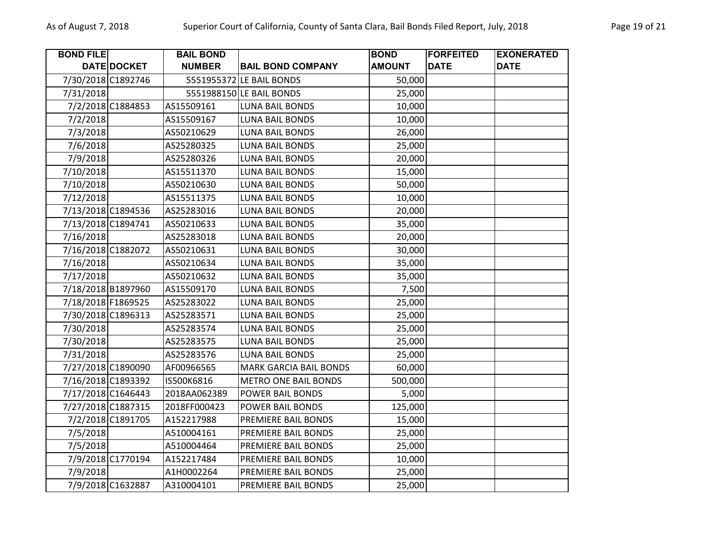| <b>BOND FILE</b>   |                    | <b>BAIL BOND</b> |                               | <b>BOND</b>   | <b>FORFEITED</b> | <b>EXONERATED</b> |
|--------------------|--------------------|------------------|-------------------------------|---------------|------------------|-------------------|
|                    | DATE DOCKET        | <b>NUMBER</b>    | <b>BAIL BOND COMPANY</b>      | <b>AMOUNT</b> | <b>DATE</b>      | <b>DATE</b>       |
|                    | 7/30/2018 C1892746 |                  | 5551955372 LE BAIL BONDS      | 50,000        |                  |                   |
| 7/31/2018          |                    |                  | 5551988150 LE BAIL BONDS      | 25,000        |                  |                   |
|                    | 7/2/2018 C1884853  | AS15509161       | <b>LUNA BAIL BONDS</b>        | 10,000        |                  |                   |
| 7/2/2018           |                    | AS15509167       | <b>LUNA BAIL BONDS</b>        | 10,000        |                  |                   |
| 7/3/2018           |                    | AS50210629       | <b>LUNA BAIL BONDS</b>        | 26,000        |                  |                   |
| 7/6/2018           |                    | AS25280325       | <b>LUNA BAIL BONDS</b>        | 25,000        |                  |                   |
| 7/9/2018           |                    | AS25280326       | <b>LUNA BAIL BONDS</b>        | 20,000        |                  |                   |
| 7/10/2018          |                    | AS15511370       | <b>LUNA BAIL BONDS</b>        | 15,000        |                  |                   |
| 7/10/2018          |                    | AS50210630       | <b>LUNA BAIL BONDS</b>        | 50,000        |                  |                   |
| 7/12/2018          |                    | AS15511375       | <b>LUNA BAIL BONDS</b>        | 10,000        |                  |                   |
|                    | 7/13/2018 C1894536 | AS25283016       | <b>LUNA BAIL BONDS</b>        | 20,000        |                  |                   |
|                    | 7/13/2018 C1894741 | AS50210633       | <b>LUNA BAIL BONDS</b>        | 35,000        |                  |                   |
| 7/16/2018          |                    | AS25283018       | <b>LUNA BAIL BONDS</b>        | 20,000        |                  |                   |
|                    | 7/16/2018 C1882072 | AS50210631       | LUNA BAIL BONDS               | 30,000        |                  |                   |
| 7/16/2018          |                    | AS50210634       | <b>LUNA BAIL BONDS</b>        | 35,000        |                  |                   |
| 7/17/2018          |                    | AS50210632       | <b>LUNA BAIL BONDS</b>        | 35,000        |                  |                   |
|                    | 7/18/2018 B1897960 | AS15509170       | <b>LUNA BAIL BONDS</b>        | 7,500         |                  |                   |
| 7/18/2018 F1869525 |                    | AS25283022       | <b>LUNA BAIL BONDS</b>        | 25,000        |                  |                   |
| 7/30/2018 C1896313 |                    | AS25283571       | LUNA BAIL BONDS               | 25,000        |                  |                   |
| 7/30/2018          |                    | AS25283574       | <b>LUNA BAIL BONDS</b>        | 25,000        |                  |                   |
| 7/30/2018          |                    | AS25283575       | <b>LUNA BAIL BONDS</b>        | 25,000        |                  |                   |
| 7/31/2018          |                    | AS25283576       | <b>LUNA BAIL BONDS</b>        | 25,000        |                  |                   |
|                    | 7/27/2018 C1890090 | AF00966565       | <b>MARK GARCIA BAIL BONDS</b> | 60,000        |                  |                   |
|                    | 7/16/2018 C1893392 | IS500K6816       | <b>METRO ONE BAIL BONDS</b>   | 500,000       |                  |                   |
|                    | 7/17/2018 C1646443 | 2018AA062389     | POWER BAIL BONDS              | 5,000         |                  |                   |
|                    | 7/27/2018 C1887315 | 2018FF000423     | POWER BAIL BONDS              | 125,000       |                  |                   |
|                    | 7/2/2018 C1891705  | A152217988       | <b>PREMIERE BAIL BONDS</b>    | 15,000        |                  |                   |
| 7/5/2018           |                    | A510004161       | <b>PREMIERE BAIL BONDS</b>    | 25,000        |                  |                   |
| 7/5/2018           |                    | A510004464       | PREMIERE BAIL BONDS           | 25,000        |                  |                   |
|                    | 7/9/2018 C1770194  | A152217484       | PREMIERE BAIL BONDS           | 10,000        |                  |                   |
| 7/9/2018           |                    | A1H0002264       | PREMIERE BAIL BONDS           | 25,000        |                  |                   |
|                    | 7/9/2018 C1632887  | A310004101       | <b>PREMIERE BAIL BONDS</b>    | 25,000        |                  |                   |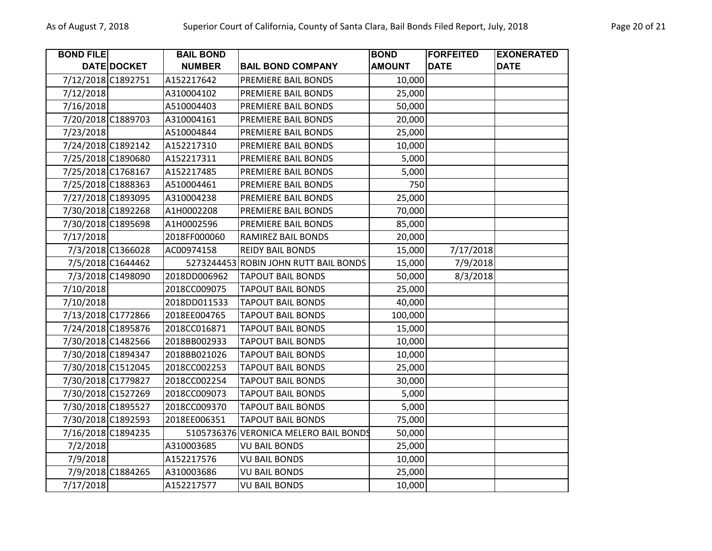| <b>BOND FILE</b> |                    | <b>BAIL BOND</b> |                                       | <b>BOND</b>   | <b>FORFEITED</b> | <b>EXONERATED</b> |
|------------------|--------------------|------------------|---------------------------------------|---------------|------------------|-------------------|
|                  | DATE DOCKET        | <b>NUMBER</b>    | <b>BAIL BOND COMPANY</b>              | <b>AMOUNT</b> | <b>DATE</b>      | <b>DATE</b>       |
|                  | 7/12/2018 C1892751 | A152217642       | PREMIERE BAIL BONDS                   | 10,000        |                  |                   |
| 7/12/2018        |                    | A310004102       | PREMIERE BAIL BONDS                   | 25,000        |                  |                   |
| 7/16/2018        |                    | A510004403       | PREMIERE BAIL BONDS                   | 50,000        |                  |                   |
|                  | 7/20/2018 C1889703 | A310004161       | PREMIERE BAIL BONDS                   | 20,000        |                  |                   |
| 7/23/2018        |                    | A510004844       | PREMIERE BAIL BONDS                   | 25,000        |                  |                   |
|                  | 7/24/2018 C1892142 | A152217310       | PREMIERE BAIL BONDS                   | 10,000        |                  |                   |
|                  | 7/25/2018 C1890680 | A152217311       | PREMIERE BAIL BONDS                   | 5,000         |                  |                   |
|                  | 7/25/2018 C1768167 | A152217485       | PREMIERE BAIL BONDS                   | 5,000         |                  |                   |
|                  | 7/25/2018 C1888363 | A510004461       | PREMIERE BAIL BONDS                   | 750           |                  |                   |
|                  | 7/27/2018 C1893095 | A310004238       | PREMIERE BAIL BONDS                   | 25,000        |                  |                   |
|                  | 7/30/2018 C1892268 | A1H0002208       | PREMIERE BAIL BONDS                   | 70,000        |                  |                   |
|                  | 7/30/2018 C1895698 | A1H0002596       | PREMIERE BAIL BONDS                   | 85,000        |                  |                   |
| 7/17/2018        |                    | 2018FF000060     | RAMIREZ BAIL BONDS                    | 20,000        |                  |                   |
|                  | 7/3/2018 C1366028  | AC00974158       | <b>REIDY BAIL BONDS</b>               | 15,000        | 7/17/2018        |                   |
|                  | 7/5/2018 C1644462  |                  | 5273244453 ROBIN JOHN RUTT BAIL BONDS | 15,000        | 7/9/2018         |                   |
|                  | 7/3/2018 C1498090  | 2018DD006962     | <b>TAPOUT BAIL BONDS</b>              | 50,000        | 8/3/2018         |                   |
| 7/10/2018        |                    | 2018CC009075     | <b>TAPOUT BAIL BONDS</b>              | 25,000        |                  |                   |
| 7/10/2018        |                    | 2018DD011533     | <b>TAPOUT BAIL BONDS</b>              | 40,000        |                  |                   |
|                  | 7/13/2018 C1772866 | 2018EE004765     | <b>TAPOUT BAIL BONDS</b>              | 100,000       |                  |                   |
|                  | 7/24/2018 C1895876 | 2018CC016871     | <b>TAPOUT BAIL BONDS</b>              | 15,000        |                  |                   |
|                  | 7/30/2018 C1482566 | 2018BB002933     | <b>TAPOUT BAIL BONDS</b>              | 10,000        |                  |                   |
|                  | 7/30/2018 C1894347 | 2018BB021026     | <b>TAPOUT BAIL BONDS</b>              | 10,000        |                  |                   |
|                  | 7/30/2018 C1512045 | 2018CC002253     | <b>TAPOUT BAIL BONDS</b>              | 25,000        |                  |                   |
|                  | 7/30/2018 C1779827 | 2018CC002254     | <b>TAPOUT BAIL BONDS</b>              | 30,000        |                  |                   |
|                  | 7/30/2018 C1527269 | 2018CC009073     | <b>TAPOUT BAIL BONDS</b>              | 5,000         |                  |                   |
|                  | 7/30/2018 C1895527 | 2018CC009370     | <b>TAPOUT BAIL BONDS</b>              | 5,000         |                  |                   |
|                  | 7/30/2018 C1892593 | 2018EE006351     | <b>TAPOUT BAIL BONDS</b>              | 75,000        |                  |                   |
|                  | 7/16/2018 C1894235 |                  | 5105736376 VERONICA MELERO BAIL BONDS | 50,000        |                  |                   |
| 7/2/2018         |                    | A310003685       | <b>VU BAIL BONDS</b>                  | 25,000        |                  |                   |
| 7/9/2018         |                    | A152217576       | <b>VU BAIL BONDS</b>                  | 10,000        |                  |                   |
|                  | 7/9/2018 C1884265  | A310003686       | <b>VU BAIL BONDS</b>                  | 25,000        |                  |                   |
| 7/17/2018        |                    | A152217577       | <b>VU BAIL BONDS</b>                  | 10,000        |                  |                   |